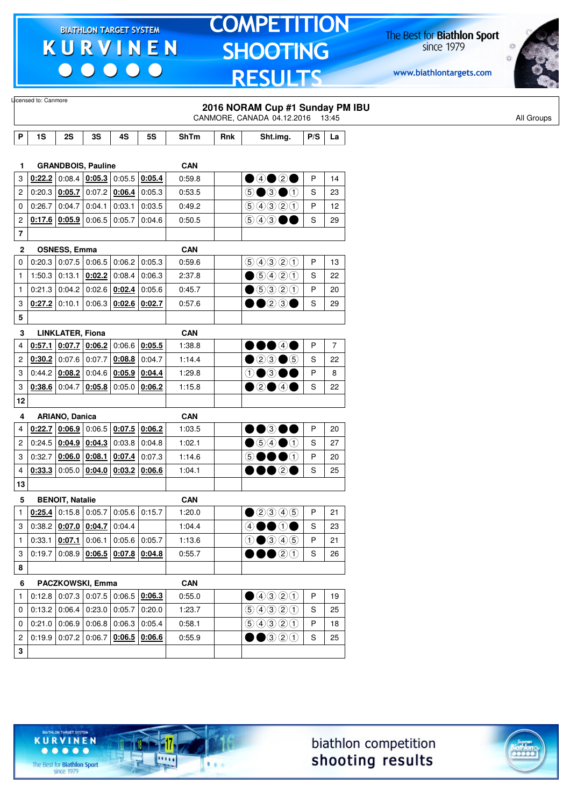$\begin{array}{c|c|c|c|c} \hline \bullet & \bullet & \bullet & \bullet & \bullet \end{array}$ 

# **TOMPETITION SHOOTING RESULTS**

The Best for **Biathlon Sport**<br>since 1979

www.biathlontargets.com



|                         | Licensed to: Canmore |                          |                                                               |                 |           |             |     | 2016 NORAM Cup #1 Sunday PM IBU                                                               |     |                |
|-------------------------|----------------------|--------------------------|---------------------------------------------------------------|-----------------|-----------|-------------|-----|-----------------------------------------------------------------------------------------------|-----|----------------|
|                         |                      |                          |                                                               |                 |           |             |     | CANMORE, CANADA 04.12.2016 13:45                                                              |     |                |
| P                       | 1S                   | 2S                       | 3S                                                            | 4S              | <b>5S</b> | <b>ShTm</b> | Rnk | Sht.img.                                                                                      | P/S | La             |
|                         |                      |                          |                                                               |                 |           |             |     |                                                                                               |     |                |
| 1.                      |                      |                          | <b>GRANDBOIS, Pauline</b>                                     |                 |           | <b>CAN</b>  |     |                                                                                               |     |                |
| 3                       | 0:22.2               |                          | $0.08.4$   0.05.3   0.05.5                                    |                 | 0:05.4    | 0.59.8      |     | ●④●②●                                                                                         | P   | 14             |
| 2                       | 0:20.3               | 0:05.7                   | 0:07.2                                                        | 0:06.4          | 0:05.3    | 0:53.5      |     | $\circledcirc$ $\bullet$ $\circledcirc$                                                       | S   | 23             |
| 0                       | 0:26.7               | 0:04.7                   | 0:04.1                                                        | 0:03.1          | 0:03.5    | 0:49.2      |     | 90000                                                                                         | P   | 12             |
| 2                       |                      | $0.17.6$ $0.05.9$ 0:06.5 |                                                               | 0:05.7          | 0.04.6    | 0:50.5      |     | 543●●                                                                                         | S   | 29             |
| $\overline{\mathbf{r}}$ |                      |                          |                                                               |                 |           |             |     |                                                                                               |     |                |
| 2                       |                      | <b>OSNESS, Emma</b>      |                                                               |                 |           | <b>CAN</b>  |     |                                                                                               |     |                |
| 0                       | 0:20.3               |                          | $0.07.5$ 0.06.5 0.06.2                                        |                 | 0:05.3    | 0:59.6      |     | 9990                                                                                          | P   | 13             |
| $\mathbf{1}$            | 1:50.3               |                          | $0:13.1$ 0:02.2                                               | 0:08.4          | 0:06.3    | 2:37.8      |     | $\bigcirc$ 5420                                                                               | S   | 22             |
| 1                       | 0:21.3               | $0:04.2$ 0:02.6          |                                                               | 0:02.4          | 0:05.6    | 0:45.7      |     | $\bigcirc$ 5320                                                                               | P   | 20             |
| 3                       |                      |                          | $0.27.2$ 0:10.1 0:06.3 0:02.6                                 |                 | 0:02.7    | 0:57.6      |     | ••03•                                                                                         | S   | 29             |
| 5                       |                      |                          |                                                               |                 |           |             |     |                                                                                               |     |                |
| 3                       |                      | <b>LINKLATER, Fiona</b>  |                                                               |                 |           | <b>CAN</b>  |     |                                                                                               |     |                |
| 4                       | 0:57.1               |                          | $0.07.7$ $0.06.2$ 0.06.6 0.05.5                               |                 |           | 1:38.8      |     | 00040                                                                                         | P   | $\overline{7}$ |
| 2                       | 0:30.2               | $0:07.6$ 0:07.7          |                                                               | 0:08.8          | 0:04.7    | 1:14.4      |     | $\bullet$ 20 $\bullet$ 5                                                                      | S   | 22             |
| 3                       |                      | $0.44.2$ 0.08.2 0.04.6   |                                                               | 0:05.9          | 0:04.4    | 1:29.8      |     | ⊕●3●●                                                                                         | P   | 8              |
| 3                       | 0:38.6               | 0:04.7                   | 0:05.8                                                        | 0:05.0          | 0:06.2    | 1:15.8      |     | $\bullet$ 2040                                                                                | S   | 22             |
| 12                      |                      |                          |                                                               |                 |           |             |     |                                                                                               |     |                |
| 4                       |                      | ARIANO, Danica           |                                                               |                 |           | <b>CAN</b>  |     |                                                                                               |     |                |
| 4                       | 0:22.7               |                          | $\vert$ 0:06.9 $\vert$ 0:06.5 $\vert$ 0:07.5 $\vert$ 0:06.2   |                 |           | 1:03.5      |     | ••®•                                                                                          | P   | 20             |
| 2                       | 0:24.5               | $0:04.9$ 0:04.3          |                                                               | 0:03.8          | 0:04.8    | 1:02.1      |     | $\bullet$ 54 $\bullet$ 1                                                                      | S   | 27             |
| 3                       | 0:32.7               | $0:06.0$ 0:08.1          |                                                               | 0:07.4          | 0:07.3    | 1:14.6      |     | DOOO<br>$\circledS$                                                                           | P   | 20             |
| 4                       | 0:33.3               |                          | $0.05.0$ 0:04.0 0:03.2 0:06.6                                 |                 |           | 1:04.1      |     | 00026                                                                                         | S   | 25             |
| 13                      |                      |                          |                                                               |                 |           |             |     |                                                                                               |     |                |
| 5                       |                      | <b>BENOIT, Natalie</b>   |                                                               |                 |           | CAN         |     |                                                                                               |     |                |
| 1                       |                      | $0.25.4$ 0.15.8 0.05.7   |                                                               | $0:05.6$ 0:15.7 |           | 1:20.0      |     | $\bigcirc$ 2345                                                                               | P   | 21             |
| 3                       |                      |                          | $0.38.2$ $0.07.0$ $0.04.7$ 0.04.4                             |                 |           | 1:04.4      |     | 40000                                                                                         | S   | 23             |
| $\mathbf{1}$            |                      |                          | $0.33.1   0.07.1   0.06.1   0.05.6   0.05.7$                  |                 |           | 1:13.6      |     | $0$ $0$ $0$ $0$ $0$                                                                           | P   | 21             |
| 3                       |                      |                          | $0.19.7 0.08.9 \underline{0.06.5} 0.07.8 \underline{0.04.8} $ |                 |           | 0:55.7      |     | $\bullet\bullet$ 20                                                                           | S   | 26             |
| 8                       |                      |                          |                                                               |                 |           |             |     |                                                                                               |     |                |
| 6                       |                      |                          | PACZKOWSKI, Emma                                              |                 |           | <b>CAN</b>  |     |                                                                                               |     |                |
| $\mathbf{1}$            |                      |                          | $0.12.8$ 0.07.3 0.07.5 0.06.5 0.06.3                          |                 |           | 0:55.0      |     | $\bullet\textcircled{\scriptsize{1}}\textcircled{\scriptsize{2}}\textcircled{\scriptsize{1}}$ | P   | 19             |
| 0                       |                      |                          | 0.13.2   0.06.4   0.23.0   0.05.7                             |                 | 0:20.0    | 1:23.7      |     | 9990                                                                                          | S   | 25             |
| 0                       |                      |                          | $0.21.0$ 0.06.9 0.06.8 0.06.3 0.05.4                          |                 |           | 0:58.1      |     | 9990                                                                                          | P   | 18             |
| $\overline{c}$          |                      |                          | $0.19.9$ 0.07.2 0.06.7 0.06.5 0.06.6                          |                 |           | 0:55.9      |     | $\bullet$ $\bullet$ 320                                                                       | S   | 25             |
| 3                       |                      |                          |                                                               |                 |           |             |     |                                                                                               |     |                |
|                         |                      |                          |                                                               |                 |           |             |     |                                                                                               |     |                |





The Best for **Biathlon Sport**<br>since 1979

TARGET SYSTEM

-17

 $\overline{\cdots}$ 

 $1.1.1$ 

**KURVINEN**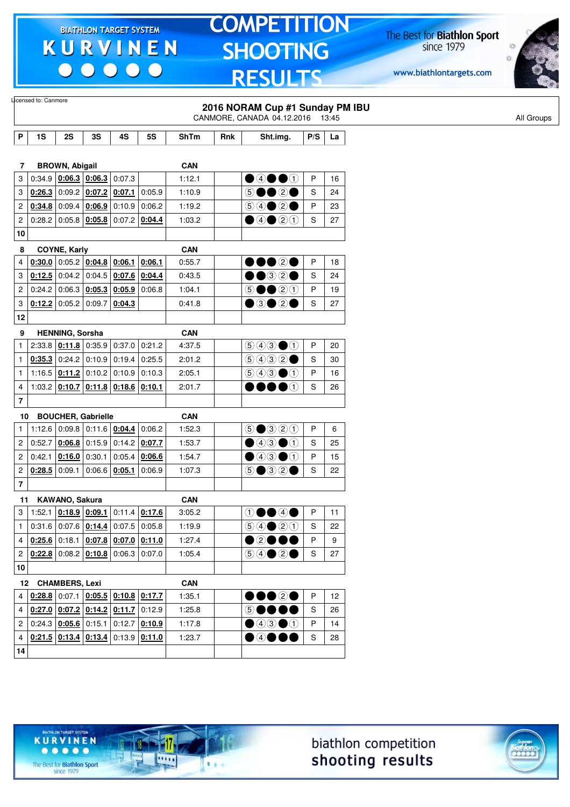$\begin{array}{c|c|c|c|c} \hline \bullet & \bullet & \bullet & \bullet & \bullet \end{array}$ 

# **TOMPETITION SHOOTING RESULTS**

The Best for **Biathlon Sport**<br>since 1979

www.biathlontargets.com



| 1S         | 2S                                                                 | 3S                                                                                         | 4S                                                                                                                                                                                   | <b>5S</b>                                                                                                                                                                                                                                                                                                                                                                                                             | <b>ShTm</b>                                                                                                                                                                                                                                                                                                                                                                                                                                             | Rnk |                                                        |                                          | La                                                                                                                                             |
|------------|--------------------------------------------------------------------|--------------------------------------------------------------------------------------------|--------------------------------------------------------------------------------------------------------------------------------------------------------------------------------------|-----------------------------------------------------------------------------------------------------------------------------------------------------------------------------------------------------------------------------------------------------------------------------------------------------------------------------------------------------------------------------------------------------------------------|---------------------------------------------------------------------------------------------------------------------------------------------------------------------------------------------------------------------------------------------------------------------------------------------------------------------------------------------------------------------------------------------------------------------------------------------------------|-----|--------------------------------------------------------|------------------------------------------|------------------------------------------------------------------------------------------------------------------------------------------------|
|            |                                                                    |                                                                                            |                                                                                                                                                                                      |                                                                                                                                                                                                                                                                                                                                                                                                                       |                                                                                                                                                                                                                                                                                                                                                                                                                                                         |     |                                                        |                                          |                                                                                                                                                |
| 7          |                                                                    |                                                                                            |                                                                                                                                                                                      |                                                                                                                                                                                                                                                                                                                                                                                                                       | <b>CAN</b>                                                                                                                                                                                                                                                                                                                                                                                                                                              |     |                                                        |                                          |                                                                                                                                                |
|            |                                                                    |                                                                                            |                                                                                                                                                                                      |                                                                                                                                                                                                                                                                                                                                                                                                                       | 1:12.1                                                                                                                                                                                                                                                                                                                                                                                                                                                  |     | $\bullet$ 4 $\bullet$ 0                                | P                                        | 16                                                                                                                                             |
|            |                                                                    |                                                                                            |                                                                                                                                                                                      | 0:05.9                                                                                                                                                                                                                                                                                                                                                                                                                | 1:10.9                                                                                                                                                                                                                                                                                                                                                                                                                                                  |     | 5●●2●                                                  | S                                        | 24                                                                                                                                             |
|            |                                                                    |                                                                                            |                                                                                                                                                                                      | 0:06.2                                                                                                                                                                                                                                                                                                                                                                                                                | 1:19.2                                                                                                                                                                                                                                                                                                                                                                                                                                                  |     |                                                        | P                                        | 23                                                                                                                                             |
| 0:28.2     |                                                                    |                                                                                            |                                                                                                                                                                                      |                                                                                                                                                                                                                                                                                                                                                                                                                       | 1:03.2                                                                                                                                                                                                                                                                                                                                                                                                                                                  |     | $\bigcirc$ 40 $\bigcirc$ 0                             | S                                        | 27                                                                                                                                             |
| 10         |                                                                    |                                                                                            |                                                                                                                                                                                      |                                                                                                                                                                                                                                                                                                                                                                                                                       |                                                                                                                                                                                                                                                                                                                                                                                                                                                         |     |                                                        |                                          |                                                                                                                                                |
|            |                                                                    |                                                                                            |                                                                                                                                                                                      |                                                                                                                                                                                                                                                                                                                                                                                                                       | <b>CAN</b>                                                                                                                                                                                                                                                                                                                                                                                                                                              |     |                                                        |                                          |                                                                                                                                                |
|            |                                                                    |                                                                                            |                                                                                                                                                                                      | 0:06.1                                                                                                                                                                                                                                                                                                                                                                                                                | 0:55.7                                                                                                                                                                                                                                                                                                                                                                                                                                                  |     | ∙••⊗•                                                  | P                                        | 18                                                                                                                                             |
|            |                                                                    |                                                                                            |                                                                                                                                                                                      |                                                                                                                                                                                                                                                                                                                                                                                                                       | 0:43.5                                                                                                                                                                                                                                                                                                                                                                                                                                                  |     | •032•                                                  | S                                        | 24                                                                                                                                             |
|            |                                                                    |                                                                                            |                                                                                                                                                                                      | 0:06.8                                                                                                                                                                                                                                                                                                                                                                                                                | 1:04.1                                                                                                                                                                                                                                                                                                                                                                                                                                                  |     | $\odot \bullet \bullet$ 20                             | P                                        | 19                                                                                                                                             |
|            |                                                                    |                                                                                            | 0:04.3                                                                                                                                                                               |                                                                                                                                                                                                                                                                                                                                                                                                                       | 0:41.8                                                                                                                                                                                                                                                                                                                                                                                                                                                  |     | ●③●②●                                                  | S                                        | 27                                                                                                                                             |
| 12         |                                                                    |                                                                                            |                                                                                                                                                                                      |                                                                                                                                                                                                                                                                                                                                                                                                                       |                                                                                                                                                                                                                                                                                                                                                                                                                                                         |     |                                                        |                                          |                                                                                                                                                |
|            |                                                                    |                                                                                            |                                                                                                                                                                                      |                                                                                                                                                                                                                                                                                                                                                                                                                       | <b>CAN</b>                                                                                                                                                                                                                                                                                                                                                                                                                                              |     |                                                        |                                          |                                                                                                                                                |
|            |                                                                    |                                                                                            |                                                                                                                                                                                      | 0:21.2                                                                                                                                                                                                                                                                                                                                                                                                                | 4:37.5                                                                                                                                                                                                                                                                                                                                                                                                                                                  |     | $\bigcirc$ $\bigcirc$ $\bigcirc$ $\bigcirc$            | P                                        | 20                                                                                                                                             |
|            |                                                                    |                                                                                            |                                                                                                                                                                                      | 0.25.5                                                                                                                                                                                                                                                                                                                                                                                                                | 2:01.2                                                                                                                                                                                                                                                                                                                                                                                                                                                  |     | 9992                                                   | $\mathbf S$                              | 30                                                                                                                                             |
|            |                                                                    |                                                                                            |                                                                                                                                                                                      | 0:10.3                                                                                                                                                                                                                                                                                                                                                                                                                | 2:05.1                                                                                                                                                                                                                                                                                                                                                                                                                                                  |     | $\bigcirc$ 4300                                        | P                                        | 16                                                                                                                                             |
|            |                                                                    |                                                                                            |                                                                                                                                                                                      | 0:10.1                                                                                                                                                                                                                                                                                                                                                                                                                | 2:01.7                                                                                                                                                                                                                                                                                                                                                                                                                                                  |     | $\bullet$<br>DOOK                                      | S                                        | 26                                                                                                                                             |
|            |                                                                    |                                                                                            |                                                                                                                                                                                      |                                                                                                                                                                                                                                                                                                                                                                                                                       |                                                                                                                                                                                                                                                                                                                                                                                                                                                         |     |                                                        |                                          |                                                                                                                                                |
| 10         |                                                                    |                                                                                            |                                                                                                                                                                                      |                                                                                                                                                                                                                                                                                                                                                                                                                       | <b>CAN</b>                                                                                                                                                                                                                                                                                                                                                                                                                                              |     |                                                        |                                          |                                                                                                                                                |
|            |                                                                    |                                                                                            |                                                                                                                                                                                      | 0:06.2                                                                                                                                                                                                                                                                                                                                                                                                                | 1:52.3                                                                                                                                                                                                                                                                                                                                                                                                                                                  |     | $\odot$ $\odot$ $\odot$ $\odot$ $\odot$                | P                                        | 6                                                                                                                                              |
| 0:52.7     |                                                                    |                                                                                            |                                                                                                                                                                                      | 0:07.7                                                                                                                                                                                                                                                                                                                                                                                                                | 1:53.7                                                                                                                                                                                                                                                                                                                                                                                                                                                  |     | $\bullet$ 43 $\bullet$ 1                               | S                                        | 25                                                                                                                                             |
|            |                                                                    |                                                                                            |                                                                                                                                                                                      | 0:06.6                                                                                                                                                                                                                                                                                                                                                                                                                | 1:54.7                                                                                                                                                                                                                                                                                                                                                                                                                                                  |     | $\bullet$ 43 $\bullet$ 1                               | P                                        | 15                                                                                                                                             |
|            |                                                                    |                                                                                            |                                                                                                                                                                                      | 0:06.9                                                                                                                                                                                                                                                                                                                                                                                                                | 1:07.3                                                                                                                                                                                                                                                                                                                                                                                                                                                  |     | $\circledcirc \bullet \circledcirc \circ \bullet$      | S                                        | 22                                                                                                                                             |
|            |                                                                    |                                                                                            |                                                                                                                                                                                      |                                                                                                                                                                                                                                                                                                                                                                                                                       |                                                                                                                                                                                                                                                                                                                                                                                                                                                         |     |                                                        |                                          |                                                                                                                                                |
| 11         |                                                                    |                                                                                            |                                                                                                                                                                                      |                                                                                                                                                                                                                                                                                                                                                                                                                       | <b>CAN</b>                                                                                                                                                                                                                                                                                                                                                                                                                                              |     |                                                        |                                          |                                                                                                                                                |
|            |                                                                    |                                                                                            |                                                                                                                                                                                      |                                                                                                                                                                                                                                                                                                                                                                                                                       | 3:05.2                                                                                                                                                                                                                                                                                                                                                                                                                                                  |     | ①●●④●                                                  | P                                        | 11                                                                                                                                             |
|            |                                                                    |                                                                                            |                                                                                                                                                                                      |                                                                                                                                                                                                                                                                                                                                                                                                                       | 1:19.9                                                                                                                                                                                                                                                                                                                                                                                                                                                  |     |                                                        | S                                        | 22                                                                                                                                             |
|            |                                                                    |                                                                                            |                                                                                                                                                                                      |                                                                                                                                                                                                                                                                                                                                                                                                                       | 1:27.4                                                                                                                                                                                                                                                                                                                                                                                                                                                  |     | $\bullet$ 2000                                         | P                                        | 9                                                                                                                                              |
|            |                                                                    |                                                                                            |                                                                                                                                                                                      | 0:07.0                                                                                                                                                                                                                                                                                                                                                                                                                | 1:05.4                                                                                                                                                                                                                                                                                                                                                                                                                                                  |     | $\bigcirc \bigcirc \bigcirc \bigcirc \bigcirc \bullet$ | S                                        | 27                                                                                                                                             |
| ${\bf 10}$ |                                                                    |                                                                                            |                                                                                                                                                                                      |                                                                                                                                                                                                                                                                                                                                                                                                                       |                                                                                                                                                                                                                                                                                                                                                                                                                                                         |     |                                                        |                                          |                                                                                                                                                |
|            |                                                                    |                                                                                            |                                                                                                                                                                                      |                                                                                                                                                                                                                                                                                                                                                                                                                       | <b>CAN</b>                                                                                                                                                                                                                                                                                                                                                                                                                                              |     |                                                        |                                          |                                                                                                                                                |
|            |                                                                    |                                                                                            |                                                                                                                                                                                      |                                                                                                                                                                                                                                                                                                                                                                                                                       | 1:35.1                                                                                                                                                                                                                                                                                                                                                                                                                                                  |     |                                                        | P                                        | 12                                                                                                                                             |
|            |                                                                    |                                                                                            |                                                                                                                                                                                      |                                                                                                                                                                                                                                                                                                                                                                                                                       | 1:25.8                                                                                                                                                                                                                                                                                                                                                                                                                                                  |     | 50000                                                  | S                                        | 26                                                                                                                                             |
|            |                                                                    |                                                                                            |                                                                                                                                                                                      |                                                                                                                                                                                                                                                                                                                                                                                                                       | 1:17.8                                                                                                                                                                                                                                                                                                                                                                                                                                                  |     | $\bigcirc$ 4300                                        | P                                        | 14                                                                                                                                             |
|            |                                                                    |                                                                                            |                                                                                                                                                                                      |                                                                                                                                                                                                                                                                                                                                                                                                                       | 1:23.7                                                                                                                                                                                                                                                                                                                                                                                                                                                  |     | $\bullet$ 4000                                         | S                                        | 28                                                                                                                                             |
| 14         |                                                                    |                                                                                            |                                                                                                                                                                                      |                                                                                                                                                                                                                                                                                                                                                                                                                       |                                                                                                                                                                                                                                                                                                                                                                                                                                                         |     |                                                        |                                          |                                                                                                                                                |
|            | 0:34.9<br>0:12.2<br>2:33.8<br>1:03.2<br>1:12.6<br>0:42.1<br>0:28.5 | Licensed to: Canmore<br>0:26.3<br>0:34.8<br>0:30.0<br>0:12.5<br>0:24.2<br>0:35.3<br>1:16.5 | <b>BROWN, Abigail</b><br>0:09.4<br><b>COYNE, Karly</b><br>$0:05.2$ 0:09.7<br>HENNING, Sorsha<br>0:10.7<br>0:06.8<br>$0:16.0$ 0:30.1<br>0:09.1<br>KAWANO, Sakura<br>12 CHAMBERS, Lexi | $0.06.3$ $0.06.3$ 0:07.3<br>$0.09.2$ 0.07.2 0.07.1<br>$0.06.9$ 0:10.9<br>$0.05.8$ 0.05.8 0.07.2<br>$\vert$ 0:05.2 $\vert$ <u>0:04.8 <math>\vert</math> 0:06.1</u><br>0.06.3   0.05.3   0.05.9<br>$0.11.8$ 0.35.9 0.37.0<br>$0.24.2$ 0.10.9 0.19.4<br>$\vert$ 0:11.2 $\vert$ 0:10.2 $\vert$ 0:10.9<br><b>BOUCHER, Gabrielle</b><br>$0.09.8$ 0.11.6 0.04.4<br>0:05.4<br>$0:06.6$ 0:05.1<br>1:52.1 $\vert$ 0:18.9 0:09.1 | 0:04.4<br>$0.04.2$ 0.04.5 0.07.6<br> 0:04.4<br>$0.11.8$ 0.18.6<br>$0:15.9$ 0:14.2<br>$0:11.4$ 0:17.6<br>$0.31.6$ 0.07.6 $0.14.4$ 0.07.5 0.05.8<br>4 0:25.6 0:18.1 0:07.8 0:07.0 0:11.0<br>$2   0.22.8   0.08.2   0.10.8   0.06.3  $<br>$\vert$ 0:28.8 $\vert$ 0:07.1 $\vert$ 0:05.5 $\vert$ 0:10.8 $\vert$ 0:17.7<br>4 $0.27.0$ $0.07.2$ $0.14.2$ $0.11.7$ 0.12.9<br>2 0:24.3 $0.05.6$ 0:15.1 0:12.7 0:10.9<br>$0.21.5$ $0.13.4$ $0.13.4$ 0.13.9 0.11.0 |     |                                                        | Sht.img.<br>$\bullet\bullet\circ\bullet$ | 2016 NORAM Cup #1 Sunday PM IBU<br>CANMORE, CANADA 04.12.2016 13:45<br>P/S<br>$\bigcirc \bigcirc \bigcirc \bigcirc \bigcirc \bigcirc \bigcirc$ |





 $• • • • •$ The Best for **Biathlon Sport**<br>since 1979

**KURVINEN** 

TARGET SYSTEM

17

11111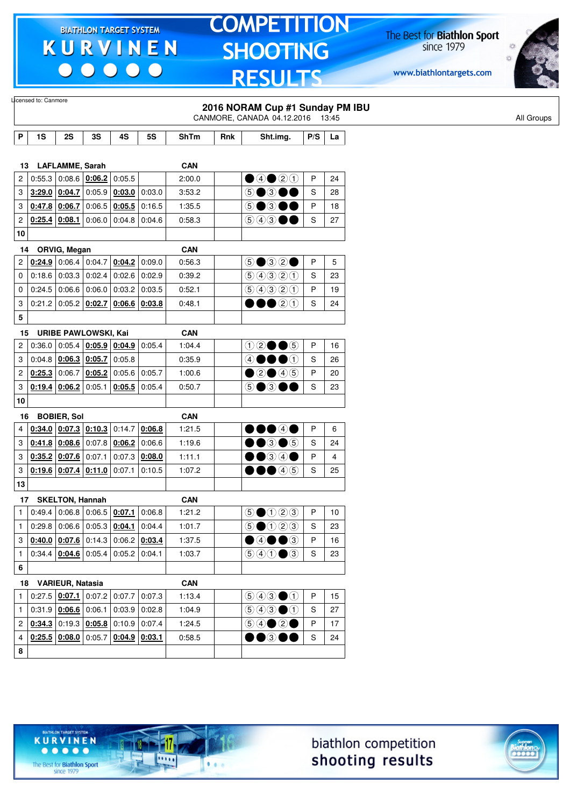00000

### **TOMPETITION SHOOTING RESULTS**

The Best for **Biathlon Sport**<br>since 1979

www.biathlontargets.com



|              | Licensed to: Canmore                                                         |                        |                             |                                            |                 |             |     | 2016 NORAM Cup #1 Sunday PM IBU                                                                 |     |    |  |  |
|--------------|------------------------------------------------------------------------------|------------------------|-----------------------------|--------------------------------------------|-----------------|-------------|-----|-------------------------------------------------------------------------------------------------|-----|----|--|--|
|              |                                                                              |                        |                             |                                            |                 |             |     | CANMORE, CANADA 04.12.2016 13:45                                                                |     |    |  |  |
| Ρ            | 1S                                                                           | 2S                     | 3S                          | 4S                                         | 5S              | <b>ShTm</b> | Rnk | Sht.img.                                                                                        | P/S | La |  |  |
|              |                                                                              |                        |                             |                                            |                 |             |     |                                                                                                 |     |    |  |  |
| 13           |                                                                              | <b>LAFLAMME, Sarah</b> |                             |                                            |                 | CAN         |     |                                                                                                 |     |    |  |  |
| 2            | 0:55.3                                                                       |                        | 0.08.6   0.06.2             | 0:05.5                                     |                 | 2:00.0      |     | $\bigcirc$ 40 20                                                                                | P   | 24 |  |  |
| 3            |                                                                              | $3:29.0$ 0:04.7        | 0:05.9                      | 0:03.0                                     | 0:03.0          | 3:53.2      |     | 6●3●●                                                                                           | S   | 28 |  |  |
| 3            | $0.47.8$ 0.06.7 0.06.5                                                       |                        |                             | $0.05.5$ 0:16.5                            |                 | 1:35.5      |     | 5●3●●                                                                                           | P   | 18 |  |  |
|              | 0:25.4                                                                       | 0:08.1                 | 0.06.0                      |                                            | $0:04.8$ 0:04.6 | 0:58.3      |     | 543●●                                                                                           | S   | 27 |  |  |
| 2            |                                                                              |                        |                             |                                            |                 |             |     |                                                                                                 |     |    |  |  |
| 10           |                                                                              |                        |                             |                                            |                 |             |     |                                                                                                 |     |    |  |  |
| 14           |                                                                              | ORVIG, Megan           |                             |                                            |                 | <b>CAN</b>  |     |                                                                                                 |     |    |  |  |
| 2            |                                                                              | $0.24.9$ 0:06.4 0:04.7 |                             | 0:04.2                                     | 0:09.0          | 0:56.3      |     | $\circledcirc$ $\circledcirc$ $\circ$                                                           | P   | 5  |  |  |
| 0            |                                                                              |                        | $0:18.6$ 0:03.3 0:02.4      | 0.02.6   0.02.9                            |                 | 0:39.2      |     | 9990                                                                                            | S   | 23 |  |  |
| 0            |                                                                              | $0.24.5$ 0.06.6 0.06.0 |                             | $0:03.2$ 0:03.5                            |                 | 0:52.1      |     | 99920                                                                                           | P   | 19 |  |  |
| 3            | 0:21.2                                                                       | $0.05.2$ 0:02.7        |                             | 0:06.6 0:03.8                              |                 | 0:48.1      |     | $\bullet\bullet$ 20                                                                             | S   | 24 |  |  |
| 5            |                                                                              |                        |                             |                                            |                 |             |     |                                                                                                 |     |    |  |  |
| 15           |                                                                              |                        | <b>URIBE PAWLOWSKI, Kai</b> |                                            |                 | <b>CAN</b>  |     |                                                                                                 |     |    |  |  |
| 2            | 0:36.0                                                                       |                        | 0.05.4 0.05.9 0.04.9        |                                            | 0:05.4          | 1:04.4      |     | $02 \bullet 6$                                                                                  | P   | 16 |  |  |
| 3            |                                                                              | $0.04.8$ 0:06.3 0:05.7 |                             | 0:05.8                                     |                 | 0:35.9      |     | 40000                                                                                           | S   | 26 |  |  |
| 2            | $0:25.3$ 0:06.7                                                              |                        | 0.05.2 0.05.6               |                                            | 0:05.7          | 1:00.6      |     | $\bigcirc$ 20 45                                                                                | P   | 20 |  |  |
| 3            | 0:19.4                                                                       | 0:06.2                 | 0:05.1                      | 0:05.5                                     | 0:05.4          | 0:50.7      |     | டு●                                                                                             | S   | 23 |  |  |
| 10           |                                                                              |                        |                             |                                            |                 |             |     |                                                                                                 |     |    |  |  |
| 16           |                                                                              | <b>BOBIER, Sol</b>     |                             |                                            |                 | <b>CAN</b>  |     |                                                                                                 |     |    |  |  |
| 4            |                                                                              |                        | $0.34.0$ 0.07.3 0.10.3      | 0:14.7                                     | 0:06.8          | 1:21.5      |     | 00040                                                                                           | P   | 6  |  |  |
| 3            |                                                                              | $0.41.8$ 0.08.6        |                             | $0:07.8$ 0:06.2                            | 0:06.6          | 1:19.6      |     | $\bullet\hspace{-4.4pt}\bullet\hspace{-4.4pt}$ $\bullet\hspace{-4.4pt}\circ\hspace{-4.4pt}$     | S   | 24 |  |  |
| 3            | $0.35.2$ 0.07.6 0.07.1                                                       |                        |                             | 0:07.3                                     | 0:08.0          | 1:11.1      |     | $\bullet$ $\circ$ $\circ$ $\bullet$                                                             | P   | 4  |  |  |
| 3            | $0.19.6$ 0.07.4 0.11.0                                                       |                        |                             | 0:07.1                                     | 0:10.5          | 1:07.2      |     | $\bullet\bullet\bullet$ 45                                                                      | S   | 25 |  |  |
| 13           |                                                                              |                        |                             |                                            |                 |             |     |                                                                                                 |     |    |  |  |
|              | 17 SKELTON, Hannah                                                           |                        |                             |                                            |                 | <b>CAN</b>  |     |                                                                                                 |     |    |  |  |
| $\mathbf{1}$ |                                                                              |                        |                             | $0.49.4$ 0.06.8 0.06.5 0.07.1 0.06.8       |                 | 1:21.2      |     | $\bigcirc$ $\bigcirc$ $\bigcirc$ $\bigcirc$ $\bigcirc$                                          | P   | 10 |  |  |
| $\mathbf{1}$ |                                                                              |                        |                             | $0.29.8$ 0.06.6 0.05.3 0.04.1 0.04.4       |                 | 1:01.7      |     | $\bigcirc$ $\bigcirc$ $\bigcirc$ $\bigcirc$ $\bigcirc$                                          | S   | 23 |  |  |
|              | 3 $\vert$ 0:40.0 $\vert$ 0:07.6 $\vert$ 0:14.3 $\vert$ 0:06.2 $\vert$ 0:03.4 |                        |                             |                                            |                 | 1:37.5      |     | $\bullet$ 4 $\bullet$ 3                                                                         | P   | 16 |  |  |
| $\mathbf{1}$ |                                                                              |                        |                             | $0.34.4$ $0.04.6$ 0.05.4 0.05.2 0.04.1     |                 | 1:03.7      |     | $\textcircled{\scriptsize{9}}\textcircled{\scriptsize{1}} \bullet \textcircled{\scriptsize{3}}$ | S   | 23 |  |  |
| 6            |                                                                              |                        |                             |                                            |                 |             |     |                                                                                                 |     |    |  |  |
|              | 18 VARIEUR, Natasia                                                          |                        |                             |                                            |                 | <b>CAN</b>  |     |                                                                                                 |     |    |  |  |
| $\mathbf{1}$ |                                                                              |                        |                             | $0.27.5$ $0.07.1$ $0.07.2$ $0.07.7$ 0.07.3 |                 | 1:13.4      |     | $\bigcirc$ 4300                                                                                 | P   | 15 |  |  |
| $\mathbf{1}$ | $0.31.9$ 0.06.6 0.06.1                                                       |                        |                             | $0.03.9$ 0:02.8                            |                 | 1:04.9      |     | $\textcircled{\scriptsize{9}}\textcircled{\scriptsize{9}}\textcircled{\scriptsize{1}}$          | S   | 27 |  |  |
|              | $2   0:34.3   0:19.3   0:05.8   0:10.9   0:07.4$                             |                        |                             |                                            |                 | 1:24.5      |     |                                                                                                 | P   | 17 |  |  |
|              | $\vert$ 0:25.5 $\vert$ 0:08.0 $\vert$ 0:05.7 $\vert$ 0:04.9 $\vert$ 0:03.1   |                        |                             |                                            |                 | 0:58.5      |     | $\bullet\bullet$ 300                                                                            | S   | 24 |  |  |
| 4            |                                                                              |                        |                             |                                            |                 |             |     |                                                                                                 |     |    |  |  |





The Best for **Biathlon Sport**<br>since 1979

TARGET SYSTEM

17

.....

 $1.1.1$ 

**KURVINEN** 

 $\begin{array}{ccccccccccccccccc} \bullet & \bullet & \bullet & \bullet & \bullet & \bullet & \bullet \end{array}$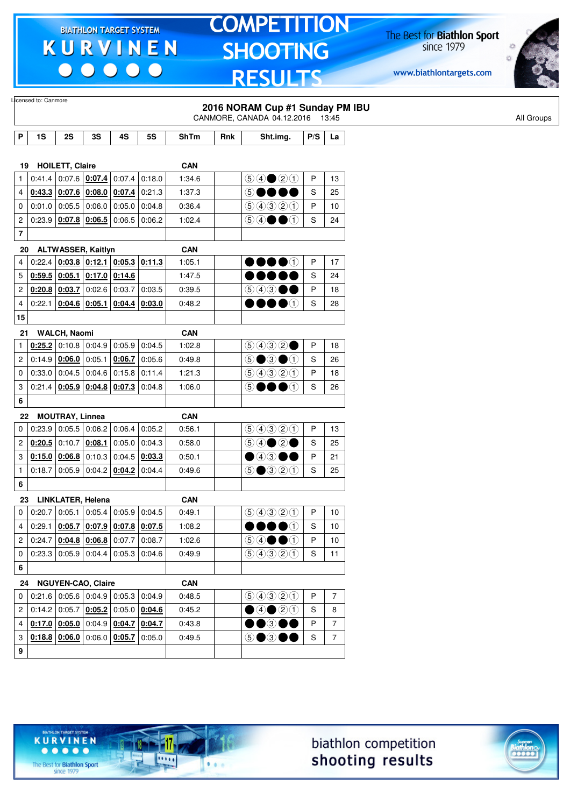$\begin{array}{c|c|c|c|c} \hline \bullet & \bullet & \bullet & \bullet & \bullet \end{array}$ 

# **TOMPETITION SHOOTING RESULTS**

The Best for **Biathlon Sport**<br>since 1979

www.biathlontargets.com



|                | Licensed to: Canmore                                                       |                        |                                                                            |                 |                 |             |     | 2016 NORAM Cup #1 Sunday PM IBU                                  |     |                |
|----------------|----------------------------------------------------------------------------|------------------------|----------------------------------------------------------------------------|-----------------|-----------------|-------------|-----|------------------------------------------------------------------|-----|----------------|
|                |                                                                            |                        |                                                                            |                 |                 |             |     | CANMORE, CANADA 04.12.2016                                       |     | 13:45          |
| P              | 1S                                                                         | 2S                     | 3S                                                                         | 4S              | 5S              | <b>ShTm</b> | Rnk | Sht.img.                                                         | P/S | La             |
|                |                                                                            |                        |                                                                            |                 |                 |             |     |                                                                  |     |                |
| 19             |                                                                            | <b>HOILETT, Claire</b> |                                                                            |                 |                 | <b>CAN</b>  |     |                                                                  |     |                |
| 1              | 0:41.4                                                                     |                        | 0.07.6 0.07.4                                                              | 0:07.4          | 0:18.0          | 1:34.6      |     | $\bigcirc \bigcirc \bigcirc \bigcirc \bigcirc \bigcirc \bigcirc$ | P   | 13             |
| 4              |                                                                            |                        | 0.43.3   0.07.6   0.08.0   0.07.4                                          |                 | 0:21.3          | 1:37.3      |     | $\circledS$                                                      | S   | 25             |
| 0              |                                                                            | $0:01.0$ 0:05.5 0:06.0 |                                                                            | 0:05.0          | 0:04.8          | 0:36.4      |     | 99900                                                            | P   | 10             |
| 2              |                                                                            |                        | $0.23.9$ 0.07.8 0.06.5                                                     | 0:06.5          | 0:06.2          | 1:02.4      |     | $\circledcirc \bullet \bullet \bullet$                           | S   | 24             |
| 7              |                                                                            |                        |                                                                            |                 |                 |             |     |                                                                  |     |                |
| 20             |                                                                            |                        | <b>ALTWASSER, Kaitlyn</b>                                                  |                 |                 | <b>CAN</b>  |     |                                                                  |     |                |
| 4              | 0:22.4                                                                     |                        | $\vert$ 0:03.8 $\vert$ 0:12.1 $\vert$ 0:05.3 $\vert$ 0:11.3                |                 |                 | 1:05.1      |     | DOOO                                                             | P   | 17             |
| 5              | 0:59.5                                                                     | 0:05.1                 |                                                                            | $0:17.0$ 0:14.6 |                 | 1:47.5      |     |                                                                  | S   | 24             |
| 2              |                                                                            |                        | $0.20.8$   0.03.7   0.02.6   0.03.7                                        |                 | 0:03.5          | 0:39.5      |     | $\circledcirc \circledcirc \bullet \bullet$                      | P   | 18             |
| 4              | 0:22.1                                                                     |                        | $0:04.6$ 0:05.1                                                            |                 | $0:04.4$ 0:03.0 | 0:48.2      |     | $\bullet\bullet\bullet\circ$                                     | S   | 28             |
| 15             |                                                                            |                        |                                                                            |                 |                 |             |     |                                                                  |     |                |
| 21             |                                                                            | <b>WALCH, Naomi</b>    |                                                                            |                 |                 | <b>CAN</b>  |     |                                                                  |     |                |
| 1              |                                                                            |                        | $0.25.2$ 0:10.8 0:04.9 0:05.9                                              |                 | 0:04.5          | 1:02.8      |     | 9932                                                             | P   | 18             |
| 2              |                                                                            | 0.14.9   0.06.0        | 0:05.1                                                                     | 0:06.7          | 0:05.6          | 0:49.8      |     | $\circledcirc$ $\bullet$ $\circledcirc$                          | S   | 26             |
| 0              |                                                                            |                        | $0:33.0$ 0.04.5 0.04.6 0.15.8 0.11.4                                       |                 |                 | 1:21.3      |     | 9990                                                             | P   | 18             |
| 3              | 0:21.4                                                                     |                        | $0.05.9$ $0.04.8$ $0.07.3$ 0:04.8                                          |                 |                 | 1:06.0      |     | DOOO<br>⑤                                                        | S   | 26             |
| 6              |                                                                            |                        |                                                                            |                 |                 |             |     |                                                                  |     |                |
| 22             |                                                                            | <b>MOUTRAY, Linnea</b> |                                                                            |                 |                 | <b>CAN</b>  |     |                                                                  |     |                |
| 0              |                                                                            |                        | 0.23.9   0.05.5   0.06.2   0.06.4                                          |                 | 0:05.2          | 0:56.1      |     | 9990                                                             | P   | 13             |
| 2              |                                                                            | $0:20.5$ 0:10.7        | 0:08.1                                                                     | 0:05.0          | 0:04.3          | 0:58.0      |     |                                                                  | S   | 25             |
| 3              |                                                                            |                        | $0.15.0$ $0.06.8$ 0.10.3 0.04.5 0.03.3                                     |                 |                 | 0:50.1      |     | $\bullet$ 43 00                                                  | P   | 21             |
| $\mathbf{1}$   | 0:18.7                                                                     |                        | $ 0.05.9 0.04.2 \underline{0.04.2} 0.04.4$                                 |                 |                 | 0:49.6      |     | <b>⑤●</b> ③②①                                                    | S   | 25             |
| 6              |                                                                            |                        |                                                                            |                 |                 |             |     |                                                                  |     |                |
| 23             |                                                                            |                        | <b>LINKLATER, Helena</b>                                                   |                 |                 | <b>CAN</b>  |     |                                                                  |     |                |
| 0              | 0:20.7                                                                     |                        | 0.05.1 0.05.4 0.05.9 0.04.5                                                |                 |                 | 0:49.1      |     | 99900                                                            | P   | 10             |
| 4              |                                                                            |                        | 0:29.1 0: <mark>05.7 0:07.9 0:07.8 0:07.5</mark>                           |                 |                 | 1:08.2      |     | $\bullet\bullet\bullet\circ$                                     | S   | 10             |
|                | 2 0:24.7 0:04.8 0:06.8 0:07.7 0:08.7                                       |                        |                                                                            |                 |                 | 1:02.6      |     | $\circledcirc \bullet \bullet \bullet$                           | P   | 10             |
| 0 <sup>1</sup> | $\vert$ 0:23.3 $\vert$ 0:05.9 $\vert$ 0:04.4 $\vert$ 0:05.3 $\vert$ 0:04.6 |                        |                                                                            |                 |                 | 0:49.9      |     | 99900                                                            | S   | 11             |
| 6              |                                                                            |                        |                                                                            |                 |                 |             |     |                                                                  |     |                |
|                | 24 NGUYEN-CAO, Claire                                                      |                        |                                                                            |                 |                 | <b>CAN</b>  |     |                                                                  |     |                |
|                | $0$   0:21.6   0:05.6   0:04.9   0:05.3   0:04.9                           |                        |                                                                            |                 |                 | 0:48.5      |     | 9990                                                             | P   | $\overline{7}$ |
|                | 2 0:14.2 0:05.7 0:05.2 0:05.0 0:04.6                                       |                        |                                                                            |                 |                 | 0:45.2      |     | $\bigcirc$ 4 $\bigcirc$ 0                                        | S   | 8              |
| 4              |                                                                            |                        | $\vert$ 0:17.0 $\vert$ 0:05.0 $\vert$ 0:04.9 $\vert$ 0:04.7 $\vert$ 0:04.7 |                 |                 | 0:43.8      |     | $\bullet\bullet$ 300                                             | Ρ   | $\overline{7}$ |
| 3              |                                                                            |                        | $0.18.8$ $0.06.0$ 0:06.0 $0.05.7$ 0:05.0                                   |                 |                 | 0:49.5      |     | 5●3●●                                                            | S   | $\overline{7}$ |
|                |                                                                            |                        |                                                                            |                 |                 |             |     |                                                                  |     |                |
| 9              |                                                                            |                        |                                                                            |                 |                 |             |     |                                                                  |     |                |





 $• • • • •$ The Best for **Biathlon Sport**<br>since 1979

**KURVINEN** 

TARGET SYSTEM

-17

 $\overline{\cdots}$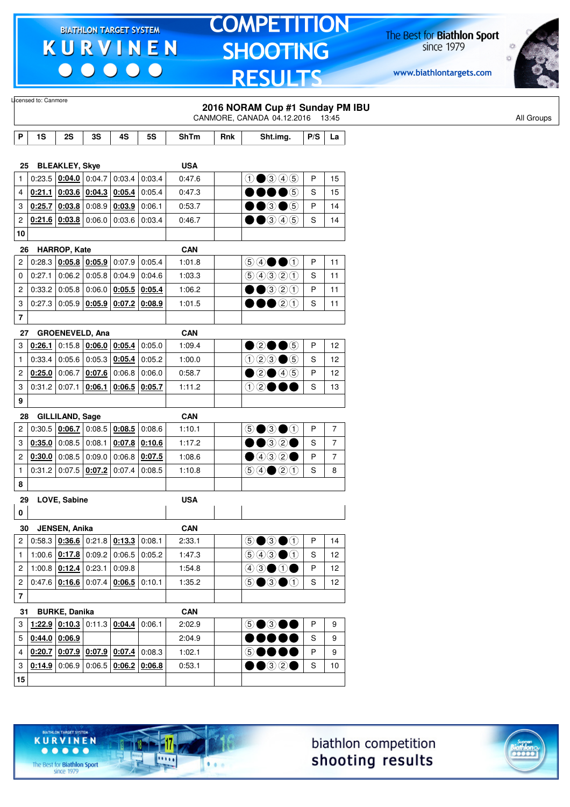$\begin{array}{c|c|c|c|c} \hline \bullet & \bullet & \bullet & \bullet & \bullet \end{array}$ 

# **TOMPETITION** SHOOTING **RESULTS**

The Best for **Biathlon Sport**<br>since 1979

www.biathlontargets.com



|                  |        |                                                     |        |                                              |           |             |     | 2016 NORAM Cup #1 Sunday PM IBU<br>CANMORE, CANADA 04.12.2016 13:45                    |     |                 |
|------------------|--------|-----------------------------------------------------|--------|----------------------------------------------|-----------|-------------|-----|----------------------------------------------------------------------------------------|-----|-----------------|
| P                | 1S     | 2S                                                  | 3S     | 4S                                           | <b>5S</b> | <b>ShTm</b> | Rnk | Sht.img.                                                                               | P/S | La              |
|                  |        |                                                     |        |                                              |           |             |     |                                                                                        |     |                 |
| 25               |        | <b>BLEAKLEY, Skye</b>                               |        |                                              |           | <b>USA</b>  |     |                                                                                        |     |                 |
| $\mathbf{1}$     |        |                                                     |        | $0.23.5 \mid 0.04.0 \mid 0.04.7 \mid 0.03.4$ | 0:03.4    | 0:47.6      |     | $0$ $0$ $0$ $0$ $0$                                                                    | P   | 15              |
| 4                |        | $0:21.1$ 0:03.6 0:04.3 0:05.4                       |        |                                              | 0:05.4    | 0:47.3      |     | $\bullet$ (5)                                                                          | S   | 15              |
| 3                |        | 0:25.7 0:03.8                                       | 0:08.9 | 0:03.9                                       | 0:06.1    | 0:53.7      |     | $\mathbf{0} \bullet \mathbf{0}$                                                        | P   | 14              |
| $\boldsymbol{2}$ |        | 0:21.6 0:03.8                                       | 0:06.0 | 0:03.6                                       | 0:03.4    | 0:46.7      |     | $\Theta$ $\Theta$ $\Theta$                                                             | S   | 14              |
| 10               |        |                                                     |        |                                              |           |             |     |                                                                                        |     |                 |
| 26               |        | HARROP, Kate                                        |        |                                              |           | <b>CAN</b>  |     |                                                                                        |     |                 |
| $\overline{c}$   |        |                                                     |        | $0:28.3$ $0:05.8$ $0:05.9$ 0:07.9 0:05.4     |           | 1:01.8      |     | $\bigcirc$ $\bigcirc$ $\bigcirc$ $\bigcirc$                                            | P   | 11              |
| $\mathbf 0$      | 0:27.1 | 0:06.2                                              | 0:05.8 | 0:04.9                                       | 0:04.6    | 1:03.3      |     | 99900                                                                                  | S   | 11              |
| $\overline{c}$   | 0:33.2 | 0:05.8                                              | 0:06.0 | 0:05.5                                       | 0:05.4    | 1:06.2      |     | $\bullet$ ③②①                                                                          | P   | 11              |
| 3                |        |                                                     |        | $0.27.3   0.05.9   0.05.9   0.07.2   0.08.9$ |           | 1:01.5      |     | 00020                                                                                  | S   | 11              |
| $\overline{7}$   |        |                                                     |        |                                              |           |             |     |                                                                                        |     |                 |
| 27               |        | <b>GROENEVELD, Ana</b>                              |        |                                              |           | <b>CAN</b>  |     |                                                                                        |     |                 |
| 3                | 0:26.1 |                                                     |        | $0:15.8$ 0:06.0 0:05.4 0:05.0                |           | 1:09.4      |     | $\bullet$ 2005                                                                         | P   | 12              |
| $\mathbf{1}$     | 0:33.4 |                                                     |        | 0.05.6   0.05.3   0.05.4                     | 0:05.2    | 1:00.0      |     | $023 \bullet 5$                                                                        | S   | 12              |
| $\overline{c}$   | 0:25.0 | 0:06.7                                              | 0:07.6 | 0:06.8                                       | 0.06.0    | 0:58.7      |     | $\bullet$ 2 $\bullet$ 45                                                               | P   | 12              |
| 3                | 0:31.2 | 0:07.1                                              | 0:06.1 | 0:06.5                                       | 0:05.7    | 1:11.2      |     | $\textcircled{\textcircled{\char'13em}\hspace{13em}}\mathbf{O}$                        | S   | 13              |
| 9                |        |                                                     |        |                                              |           |             |     |                                                                                        |     |                 |
| 28               |        | <b>GILLILAND, Sage</b>                              |        |                                              |           | <b>CAN</b>  |     |                                                                                        |     |                 |
| $\overline{c}$   |        |                                                     |        | $0.30.5   0.06.7   0.08.5   0.08.5   0.08.6$ |           | 1:10.1      |     | $\circledcirc \bullet \circledcirc \bullet \circledcirc$                               | P   | $\overline{7}$  |
| 3                |        | $0:35.0$ 0:08.5 0:08.1                              |        | $0:07.8$ 0:10.6                              |           | 1:17.2      |     | ••32•                                                                                  | S   | $\overline{7}$  |
| $\overline{2}$   | 0:30.0 | 0:08.5                                              | 0:09.0 | 0:06.8                                       | 0:07.5    | 1:08.6      |     | $\bullet$ 432 $\bullet$                                                                | P   | $\overline{7}$  |
| 1                |        | $0:31.2$ 0:07.5 0:07.2                              |        | 0:07.4                                       | 0:08.5    | 1:10.8      |     | $\bigcirc \bigcirc \bigcirc \bigcirc \bigcirc \bigcirc \bigcirc$                       | S   | 8               |
| 8                |        |                                                     |        |                                              |           |             |     |                                                                                        |     |                 |
|                  |        |                                                     |        |                                              |           | <b>USA</b>  |     |                                                                                        |     |                 |
| 29<br>0          |        | LOVE, Sabine                                        |        |                                              |           |             |     |                                                                                        |     |                 |
|                  |        |                                                     |        |                                              |           |             |     |                                                                                        |     |                 |
| 30               |        | JENSEN, Anika                                       |        |                                              |           | <b>CAN</b>  |     |                                                                                        | P   |                 |
| 2 <sup>1</sup>   |        |                                                     |        | $0.58.3$ $0.36.6$ $0.21.8$ $0.13.3$ $0.08.1$ |           | 2:33.1      |     | $\odot$ $\odot$ $\odot$                                                                |     | 14              |
| $\mathbf{1}$     |        | 1:00.6 $\vert$ 0:17.8 $\vert$ 0:09.2 $\vert$ 0:06.5 |        |                                              | 0:05.2    | 1:47.3      |     | $\bigcirc$ $\bigcirc$ $\bigcirc$ $\bigcirc$                                            | S   | 12              |
| $\overline{c}$   |        | 1:00.8 $\vert$ 0:12.4 $\vert$ 0:23.1                |        | 0:09.8                                       |           | 1:54.8      |     | $\textcircled{\scriptsize{4}}\textcircled{\scriptsize{9}}\textcircled{\scriptsize{1}}$ | P   | 12              |
| $\mathbf{2}$     |        |                                                     |        | $0.47.6$ $0.16.6$ 0.07.4 0.06.5 0.10.1       |           | 1:35.2      |     | $\circledcirc$ $\bullet$ $\circledcirc$                                                | S   | 12 <sup>°</sup> |
| $\bf 7$          |        |                                                     |        |                                              |           |             |     |                                                                                        |     |                 |
| 31               |        | <b>BURKE, Danika</b>                                |        |                                              |           | <b>CAN</b>  |     |                                                                                        |     |                 |
| 3                |        | 1:22.9 0:10.3 0:11.3 0:04.4                         |        |                                              | 0:06.1    | 2:02.9      |     | $\circledcirc \bullet \circledcirc \bullet \bullet$                                    | P   | 9               |
| 5                |        | $0.44.0$ 0.06.9                                     |        |                                              |           | 2:04.9      |     |                                                                                        | S   | 9               |
| $\overline{4}$   |        | $0.20.7$ 0.07.9 0.07.9 0.07.4                       |        |                                              | 0:08.3    | 1:02.1      |     | 60000                                                                                  | P   | 9               |
| 3                |        |                                                     |        | $0.14.9$ 0.06.9 0.06.5 0.06.2 0.06.8         |           | 0:53.1      |     | $\bullet$ 320                                                                          | S   | 10 <sup>°</sup> |
| $15\,$           |        |                                                     |        |                                              |           |             |     |                                                                                        |     |                 |

biathlon competition shooting results



The Best for **Biathlon Sport**<br>since 1979

TARGET SYSTEM

17

.....

 $1.1.1$ 

**KURVINEN**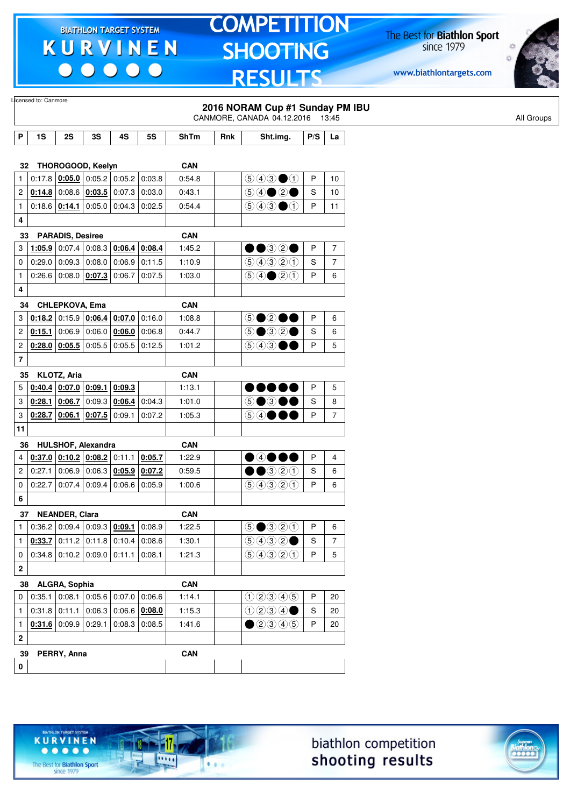$\begin{array}{c|c|c|c|c} \hline \bullet & \bullet & \bullet & \bullet & \bullet \end{array}$ 

# **TOMPETITION SHOOTING RESULTS**

The Best for **Biathlon Sport**<br>since 1979

www.biathlontargets.com



|              | Licensed to: Canmore |                                                                     |                        |                 |                 |                      |     | 2016 NORAM Cup #1 Sunday PM IBU<br>CANMORE, CANADA 04.12.2016                                      |             | 13:45          |
|--------------|----------------------|---------------------------------------------------------------------|------------------------|-----------------|-----------------|----------------------|-----|----------------------------------------------------------------------------------------------------|-------------|----------------|
|              |                      |                                                                     |                        |                 |                 |                      |     |                                                                                                    |             |                |
| P            | 1S                   | 2S                                                                  | 3S                     | 4S              | <b>5S</b>       | <b>ShTm</b>          | Rnk | Sht.img.                                                                                           | P/S         | La             |
|              | 32                   | THOROGOOD, Keelyn                                                   |                        |                 |                 | <b>CAN</b>           |     |                                                                                                    |             |                |
| 1            |                      | $0.17.8$ $0.05.0$ 0.05.2 0.05.2                                     |                        |                 | 0:03.8          | 0:54.8               |     | $\bigcirc$ $\bigcirc$ $\bigcirc$ $\bigcirc$                                                        | P           | 10             |
| 2            |                      | $0.14.8$ 0:08.6 $0.03.5$ 0:07.3                                     |                        |                 | 0:03.0          | 0:43.1               |     |                                                                                                    | $\mathbb S$ | 10             |
| 1            |                      | 0.18.6   0.14.1   0.05.0   0.04.3                                   |                        |                 | 0:02.5          | 0:54.4               |     | $\bigcirc$ $\bigcirc$ $\bigcirc$ $\bigcirc$                                                        | P           | 11             |
| 4            |                      |                                                                     |                        |                 |                 |                      |     |                                                                                                    |             |                |
|              | 33                   | <b>PARADIS, Desiree</b>                                             |                        |                 |                 | <b>CAN</b>           |     |                                                                                                    |             |                |
| 3            | 1:05.9               |                                                                     | $0.07.4$ 0.08.3 0.06.4 |                 | 0:08.4          | 1:45.2               |     | $\bullet\textcolor{red}{\bullet\circledcirc}\textcolor{red}{\circledcirc}\textcolor{red}{\bullet}$ | P           | $\overline{7}$ |
| 0            |                      | $0.29.0$ 0.09.3 0.08.0 0.06.9                                       |                        |                 | 0:11.5          | 1:10.9               |     | 9990                                                                                               | S           | $\overline{7}$ |
| 1            |                      | 0.26.6   0.08.0   0.07.3                                            |                        | 0:06.7          | 0:07.5          | 1:03.0               |     | $\bigcirc \bigcirc \bigcirc \bigcirc \bigcirc \bigcirc \bigcirc$                                   | P           | 6              |
| 4            |                      |                                                                     |                        |                 |                 |                      |     |                                                                                                    |             |                |
|              | 34                   | CHLEPKOVA, Ema                                                      |                        |                 |                 | <b>CAN</b>           |     |                                                                                                    |             |                |
| 3            |                      | $0.18.2$ 0.15.9 0.06.4 0.07.0                                       |                        |                 | 0:16.0          | 1:08.8               |     | 50200                                                                                              | P           | 6              |
| 2            | 0:15.1               | 0:06.9                                                              |                        | $0.06.0$ 0:06.0 | 0:06.8          | 0:44.7               |     | $5\bullet 32\bullet$                                                                               | S           | 6              |
| 2            |                      | $0.28.0$ $0.05.5$ 0.05.5 0.05.5                                     |                        |                 | 0:12.5          | 1:01.2               |     | $\circledcirc$ 4 $\circledcirc$ $\bullet$                                                          | P           | 5              |
| 7            |                      |                                                                     |                        |                 |                 |                      |     |                                                                                                    |             |                |
|              | 35                   | KLOTZ, Aria                                                         |                        |                 |                 | <b>CAN</b>           |     |                                                                                                    |             |                |
| 5            |                      | $0.40.4$ 0.07.0 0.09.1                                              |                        | 0:09.3          |                 | 1:13.1               |     | $\bullet\bullet\bullet\bullet\bullet$                                                              | P           | 5              |
| 3            |                      | $0:28.1$ 0:06.7                                                     |                        | $0:09.3$ 0:06.4 | 0.04.3          | 1:01.0               |     | 5●3●●                                                                                              | S           | 8              |
| 3            |                      | $0.28.7$ 0.06.1 0.07.5                                              |                        | 0:09.1          | 0:07.2          | 1:05.3               |     | 64●●●                                                                                              | P           | $\overline{7}$ |
| 11           |                      |                                                                     |                        |                 |                 |                      |     |                                                                                                    |             |                |
|              | 36                   | HULSHOF, Alexandra                                                  |                        |                 |                 | <b>CAN</b>           |     |                                                                                                    |             |                |
| 4            |                      | $0.37.0$ 0.10.2 0.08.2 0.11.1 0.05.7                                |                        |                 |                 | 1:22.9               |     | $\bullet$ 4000                                                                                     | P           | 4              |
| 2            | 0:27.1               | 0:06.9                                                              |                        | $0:06.3$ 0:05.9 | 0:07.2          | 0:59.5               |     | $\bullet\bullet$ 320                                                                               | S           | 6              |
| 0            |                      | $0.22.7$ 0.07.4 0.09.4 0.06.6 0.05.9                                |                        |                 |                 | 1:00.6               |     | 99900                                                                                              | P           | 6              |
| 6            |                      |                                                                     |                        |                 |                 |                      |     |                                                                                                    |             |                |
|              |                      |                                                                     |                        |                 |                 |                      |     |                                                                                                    |             |                |
|              | 37                   | <b>NEANDER, Clara</b><br>0.36.2   0.09.4   0.09.3   0.09.1          |                        |                 | 0:08.9          | <b>CAN</b><br>1:22.5 |     | $\bigcirc$ $\bigcirc$ $\bigcirc$ $\bigcirc$ $\bigcirc$                                             | P           |                |
| $\mathbf{1}$ |                      |                                                                     |                        |                 |                 |                      |     | 9932                                                                                               |             | 6              |
| $\mathbf{1}$ |                      | <b>0:33.7</b> 0:11.2 0:11.8 0:10.4<br>$0.34.8$ 0.10.2 0.09.0 0.11.1 |                        |                 | 0:08.6          | 1:30.1               |     |                                                                                                    | S           | 7              |
| 0            |                      |                                                                     |                        |                 | 0:08.1          | 1:21.3               |     | 9990                                                                                               | P           | 5              |
| 2            |                      |                                                                     |                        |                 |                 |                      |     |                                                                                                    |             |                |
|              |                      | 38 ALGRA, Sophia                                                    |                        |                 |                 | CAN                  |     |                                                                                                    |             |                |
|              |                      | $0$   0:35.1   0:08.1   0:05.6   0:07.0   0:06.6                    |                        |                 |                 | 1:14.1               |     | 02345                                                                                              | P           | 20             |
| $\mathbf{1}$ |                      | $0:31.8$ 0:11.1 0:06.3 0:06.6 0:08.0                                |                        |                 |                 | 1:15.3               |     | 0234                                                                                               | S           | 20             |
| 1            |                      | $0.31.6$ 0:09.9 0:29.1                                              |                        |                 | $0:08.3$ 0:08.5 | 1:41.6               |     | $\n  2900\n$                                                                                       | P           | 20             |
| $\mathbf 2$  |                      |                                                                     |                        |                 |                 |                      |     |                                                                                                    |             |                |
|              | 39                   | PERRY, Anna                                                         |                        |                 |                 | CAN                  |     |                                                                                                    |             |                |
| $\mathbf 0$  |                      |                                                                     |                        |                 |                 |                      |     |                                                                                                    |             |                |





The Best for **Biathlon Sport**<br>since 1979

TARGET SYSTEM

-17

 $\overline{\cdots}$ 

 $1.1.1$ 

**KURVINEN**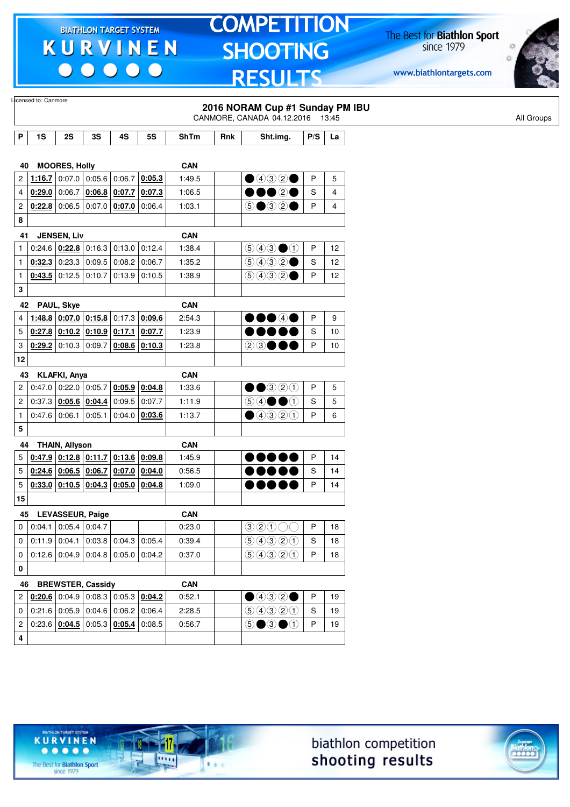$\begin{array}{c|c|c|c|c} \hline \bullet & \bullet & \bullet & \bullet & \bullet \end{array}$ 

# **TOMPETITION SHOOTING RESULTS**

The Best for **Biathlon Sport**<br>since 1979

www.biathlontargets.com



|                           | Licensed to: Canmore                      |                        |                          |                                              |           |             |     | 2016 NORAM Cup #1 Sunday PM IBU                          |     |                |            |
|---------------------------|-------------------------------------------|------------------------|--------------------------|----------------------------------------------|-----------|-------------|-----|----------------------------------------------------------|-----|----------------|------------|
|                           |                                           |                        |                          |                                              |           |             |     | CANMORE, CANADA 04.12.2016 13:45                         |     |                | All Groups |
| $\boldsymbol{\mathsf{P}}$ | 1S                                        | 2S                     | 3S                       | 4S                                           | <b>5S</b> | <b>ShTm</b> | Rnk | Sht.img.                                                 | P/S | La             |            |
|                           |                                           |                        |                          |                                              |           |             |     |                                                          |     |                |            |
| 40                        |                                           | <b>MOORES, Holly</b>   |                          |                                              |           | <b>CAN</b>  |     |                                                          |     |                |            |
| 2                         | 1:16.7                                    |                        |                          | $0.07.0$ 0.05.6 0.06.7                       | 0:05.3    | 1:49.5      |     | $\bigcirc$ 432 $\bigcirc$                                | P   | 5              |            |
| 4                         |                                           |                        |                          | $0.29.0$ 0:06.7 0:06.8 0:07.7                | 0:07.3    | 1:06.5      |     | 00020                                                    | S   | $\overline{4}$ |            |
| 2                         |                                           |                        |                          | $0.22.8$ 0.06.5 0.07.0 0.07.0                | 0:06.4    | 1:03.1      |     | $\circledcirc$ $\circledcirc$ $\circ$                    | P   | 4              |            |
| 8                         |                                           |                        |                          |                                              |           |             |     |                                                          |     |                |            |
| 41                        |                                           | <b>JENSEN, Liv</b>     |                          |                                              |           | <b>CAN</b>  |     |                                                          |     |                |            |
| $\mathbf{1}$              |                                           |                        |                          | $0.24.6$ $0.22.8$ 0.16.3 0.13.0              | 0:12.4    | 1:38.4      |     | $\bigcirc$ $\bigcirc$ $\bigcirc$ $\bigcirc$              | P   | 12             |            |
| $\mathbf{1}$              |                                           |                        |                          | $0.32.3$ 0.23.3 0.09.5 0.08.2                | 0:06.7    | 1:35.2      |     | (50000)                                                  | S   | 12             |            |
| $\mathbf{1}$              |                                           |                        | $0.43.5$ 0:12.5 0:10.7   | 0:13.9                                       | 0:10.5    | 1:38.9      |     | 9992                                                     | P   | 12             |            |
| 3                         |                                           |                        |                          |                                              |           |             |     |                                                          |     |                |            |
|                           | 42                                        | PAUL, Skye             |                          |                                              |           | <b>CAN</b>  |     |                                                          |     |                |            |
| 4                         |                                           |                        |                          | $1:48.8$ 0:07.0 0:15.8 0:17.3                | 0:09.6    | 2:54.3      |     | $\bullet\bullet\bullet\circ\bullet$                      | P   | 9              |            |
| 5                         |                                           |                        |                          | $0.27.8$ $0.10.2$ $0.10.9$ $0.17.1$          | 0:07.7    | 1:23.9      |     | DOOOC                                                    | S   | 10             |            |
| 3                         |                                           |                        | $0.29.2$ 0:10.3 0:09.7   | 0:08.6                                       | 0:10.3    | 1:23.8      |     | 23●●●                                                    | P   | 10             |            |
| 12                        |                                           |                        |                          |                                              |           |             |     |                                                          |     |                |            |
| 43                        |                                           | <b>KLAFKI, Anya</b>    |                          |                                              |           | <b>CAN</b>  |     |                                                          |     |                |            |
| 2                         |                                           |                        | $0:47.0$ 0:22.0 0:05.7   | 0:05.9                                       | 0:04.8    | 1:33.6      |     | $\bullet\bullet$ 320                                     | P   | 5              |            |
| $\overline{c}$            |                                           |                        | $0:37.3$ $0:05.6$ 0:04.4 | 0:09.5                                       | 0:07.7    | 1:11.9      |     | $\circledcircledast \bullet \bullet \circledast$         | S   | 5              |            |
| $\mathbf{1}$              |                                           | $0:47.6$ 0:06.1 0:05.1 |                          | 0:04.0                                       | 0:03.6    | 1:13.7      |     | $\bigcirc$ 4320                                          | P   | 6              |            |
| 5                         |                                           |                        |                          |                                              |           |             |     |                                                          |     |                |            |
| 44                        |                                           | <b>THAIN, Allyson</b>  |                          |                                              |           | <b>CAN</b>  |     |                                                          |     |                |            |
| 5                         |                                           |                        |                          | $0.47.9$ 0.12.8 0.11.7 0.13.6                | 0:09.8    | 1:45.9      |     |                                                          | P   | 14             |            |
| 5                         |                                           |                        | $0:24.6$ 0:06.5 0:06.7   | 0:07.0                                       | 0:04.0    | 0:56.5      |     |                                                          | S   | 14             |            |
| 5                         |                                           |                        |                          | $0.33.0$ $0.10.5$ $0.04.3$ $0.05.0$ $0.04.8$ |           | 1:09.0      |     | D 0 0 0 4                                                | P   | 14             |            |
| 15                        |                                           |                        |                          |                                              |           |             |     |                                                          |     |                |            |
|                           | 45 LEVASSEUR, Paige                       |                        |                          |                                              |           | <b>CAN</b>  |     |                                                          |     |                |            |
| 0                         |                                           |                        | $0.04.1$ 0.05.4 0.04.7   |                                              |           | 0:23.0      |     | $\textcircled{\scriptsize{3}\,20\,00}$                   | P   | 18             |            |
| 0                         |                                           |                        |                          | $0.11.9$ 0.04.1 0.03.8 0.04.3 0.05.4         |           | 0:39.4      |     | 9990                                                     | S   | 18             |            |
| 0                         |                                           |                        |                          | $0.12.6$ 0.04.9 0.04.8 0.05.0                | 0:04.2    | 0:37.0      |     | 9990                                                     | P   | 18             |            |
| 0                         |                                           |                        |                          |                                              |           |             |     |                                                          |     |                |            |
| 46                        |                                           |                        | <b>BREWSTER, Cassidy</b> |                                              |           | <b>CAN</b>  |     |                                                          |     |                |            |
|                           | $2   0.20.6   0.04.9   0.08.3   0.05.3  $ |                        |                          |                                              | 0:04.2    | 0:52.1      |     | $\bullet$ 432 $\bullet$                                  | P   | 19             |            |
| 0                         |                                           |                        |                          | 0.21.6   0.05.9   0.04.6   0.06.2            | 0:06.4    | 2:28.5      |     | 9990                                                     | S   | 19             |            |
| 2                         |                                           |                        |                          | $0:23.6$   0:04.5   0:05.3   0:05.4          | 0:08.5    | 0:56.7      |     | $\circledcirc \bullet \circledcirc \bullet \circledcirc$ | P   | 19             |            |
| 4                         |                                           |                        |                          |                                              |           |             |     |                                                          |     |                |            |
|                           |                                           |                        |                          |                                              |           |             |     |                                                          |     |                |            |





The Best for **Biathlon Sport**<br>since 1979

TARGET SYSTEM

17

11111

 $1.1.1$ 

**KURVINEN**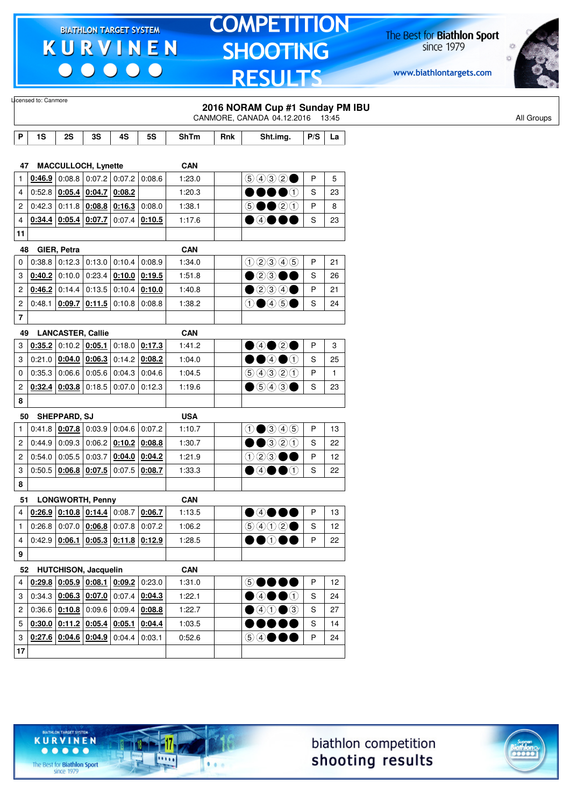$\begin{array}{c|c|c|c|c} \hline \bullet & \bullet & \bullet & \bullet & \bullet \end{array}$ 

# **TOMPETITION SHOOTING RESULTS**

The Best for **Biathlon Sport**<br>since 1979

www.biathlontargets.com



|                      | Licensed to: Canmore    |                                                                                                     |                 |                                 |                 |             |     |                                                                                    |     |              |
|----------------------|-------------------------|-----------------------------------------------------------------------------------------------------|-----------------|---------------------------------|-----------------|-------------|-----|------------------------------------------------------------------------------------|-----|--------------|
|                      |                         |                                                                                                     |                 |                                 |                 |             |     | 2016 NORAM Cup #1 Sunday PM IBU<br>CANMORE, CANADA 04.12.2016 13:45                |     |              |
| P                    | 1S                      | 2S                                                                                                  | 3S              | 4S                              | <b>5S</b>       | <b>ShTm</b> | Rnk | Sht.img.                                                                           | P/S | La           |
|                      |                         |                                                                                                     |                 |                                 |                 |             |     |                                                                                    |     |              |
| 47                   |                         | <b>MACCULLOCH, Lynette</b>                                                                          |                 |                                 |                 | <b>CAN</b>  |     |                                                                                    |     |              |
| $\mathbf{1}$         | 0:46.9                  |                                                                                                     |                 | $0.08.8$ 0.07.2 0.07.2          | 0.08.6          | 1:23.0      |     | 9932                                                                               | P   | 5            |
| 4                    |                         | $0.52.8$ $0.05.4$ $0.04.7$ $0.08.2$                                                                 |                 |                                 |                 | 1:20.3      |     | $\bullet$                                                                          | S   | 23           |
| $\overline{c}$       | 0:42.3                  |                                                                                                     |                 | $0:11.8$ $0:08.8$ $0:16.3$      | 0:08.0          | 1:38.1      |     | $\circledcirc \bullet \bullet \circledcirc \circledcirc$                           | P   | 8            |
| 4                    |                         | $0.34.4$ 0.05.4 0.07.7 0.07.4 0.10.5                                                                |                 |                                 |                 | 1:17.6      |     | $\bullet$ 4 $\bullet$ 6 (                                                          | S   | 23           |
| 11                   |                         |                                                                                                     |                 |                                 |                 |             |     |                                                                                    |     |              |
| 48                   |                         | GIER, Petra                                                                                         |                 |                                 |                 | <b>CAN</b>  |     |                                                                                    |     |              |
| 0                    | 0:38.8                  |                                                                                                     |                 | $0:12.3$ 0:13.0 0:10.4 0:08.9   |                 | 1:34.0      |     | $(1)$ $(2)$ $(3)$ $(4)$ $(5)$                                                      | P   | 21           |
| 3                    | 0:40.2                  | 0:10.0                                                                                              |                 | $0:23.4$ 0:10.0 0:19.5          |                 | 1:51.8      |     | $\bullet$ 2306                                                                     | S   | 26           |
| $\overline{c}$       |                         | $0.46.2$ 0:14.4 0:13.5 0:10.4 0:10.0                                                                |                 |                                 |                 | 1:40.8      |     | $\bullet$ 234 $\bullet$                                                            | P   | 21           |
| 2                    | 0:48.1                  |                                                                                                     |                 | $0.09.7$ $0.11.5$ 0.10.8 0.08.8 |                 | 1:38.2      |     | $\textcircled{\textcircled{\tiny{+}}} \oplus \textcircled{\textcircled{\tiny{+}}}$ | S   | 24           |
| $\overline{7}$       |                         |                                                                                                     |                 |                                 |                 |             |     |                                                                                    |     |              |
| 49                   |                         | <b>LANCASTER, Callie</b>                                                                            |                 |                                 |                 | <b>CAN</b>  |     |                                                                                    |     |              |
| 3                    | 0:35.2                  |                                                                                                     | $0:10.2$ 0:05.1 |                                 | $0:18.0$ 0:17.3 | 1:41.2      |     | $\bullet$ 4 $\bullet$ 2 $\bullet$                                                  | P   | 3            |
| 3                    |                         | $0:21.0$ $0:04.0$ $0:06.3$                                                                          |                 |                                 | $0:14.2$ 0:08.2 | 1:04.0      |     | $\bullet$ $\bullet$ $\bullet$ $\circ$                                              | S   | 25           |
| 0                    | 0:35.3                  | 0:06.6                                                                                              | 0:05.6          | 0:04.3                          | 0:04.6          | 1:04.5      |     | 99900                                                                              | P   | $\mathbf{1}$ |
| $\overline{c}$       |                         | $0.32.4$ $0.03.8$ 0.18.5 0.07.0 0.12.3                                                              |                 |                                 |                 | 1:19.6      |     | $\bullet$ 5430                                                                     | S   | 23           |
| 8                    |                         |                                                                                                     |                 |                                 |                 |             |     |                                                                                    |     |              |
| 50                   |                         | <b>SHEPPARD, SJ</b>                                                                                 |                 |                                 |                 | <b>USA</b>  |     |                                                                                    |     |              |
| $\mathbf{1}$         |                         | $0.41.8$ $0.07.8$ 0.03.9 0.04.6 0.07.2                                                              |                 |                                 |                 | 1:10.7      |     | $\bigcirc$ $\bigcirc$ $\bigcirc$ $\bigcirc$ $\bigcirc$                             | P   | 13           |
| 2                    | 0:44.9                  | 0:09.3                                                                                              | 0:06.2          |                                 | $0:10.2$ 0:08.8 | 1:30.7      |     | $\bullet$ 320                                                                      | S   | 22           |
| 2                    |                         | $0.54.0$ 0.05.5                                                                                     | 0:03.7          |                                 | $0:04.0$ 0:04.2 | 1:21.9      |     | $(1)$ (2) (3)                                                                      | P   | 12           |
| 3                    |                         | $0.50.5   0.06.8   0.07.5   0.07.5   0.08.7$                                                        |                 |                                 |                 | 1:33.3      |     | $\bullet$ 4 $\bullet$ 0                                                            | S   | 22           |
| 8                    |                         |                                                                                                     |                 |                                 |                 |             |     |                                                                                    |     |              |
| 51                   |                         | <b>LONGWORTH, Penny</b>                                                                             |                 |                                 |                 | <b>CAN</b>  |     |                                                                                    |     |              |
| 4                    |                         | $0.26.9$ 0.10.8 0.14.4 0.08.7 0.06.7                                                                |                 |                                 |                 | 1:13.5      |     | ●④●●●                                                                              | P   | 13           |
| $\mathbf{1}$         |                         | $0.26.8$ 0.07.0 $0.06.8$ 0.07.8 0.07.2                                                              |                 |                                 |                 | 1:06.2      |     | $\bigcirc \bigcirc \bigcirc \bigcirc \bigcirc \bigcirc \bullet$                    | S   | 12           |
| $\overline{4}$       |                         | $0.42.9$ 0.06.1 0.05.3 0.11.8 0.12.9                                                                |                 |                                 |                 | 1:28.5      |     | $\bullet\bullet\circ\bullet\bullet$                                                | P   | 22           |
| 9                    |                         |                                                                                                     |                 |                                 |                 |             |     |                                                                                    |     |              |
|                      | 52 HUTCHISON, Jacquelin |                                                                                                     |                 |                                 |                 | <b>CAN</b>  |     |                                                                                    |     |              |
| 4                    |                         | $\left  \frac{0.29.8}{0.05.9} \right  \left  \frac{0.08.1}{0.09.2} \right  0.23.0$                  |                 |                                 |                 | 1:31.0      |     | 50000                                                                              | P   | 12           |
| 3                    |                         | $0.34.3$ $0.06.3$ $0.07.0$ $0.07.4$ $0.04.3$                                                        |                 |                                 |                 | 1:22.1      |     | $\bullet$ 4 $\bullet$ 0                                                            | S   | 24           |
| $\mathbf{2}^{\circ}$ |                         | $0:36.6$   0:10.8   0:09.6   0:09.4   0:08.8                                                        |                 |                                 |                 | 1:22.7      |     | $\bigcirc$ 40                                                                      | S   | 27           |
| 5                    |                         | $\overline{0.30.0}$ $\overline{0.11.2}$ $\overline{0.05.4}$ $\overline{0.05.1}$ $\overline{0.04.4}$ |                 |                                 |                 | 1:03.5      |     |                                                                                    | S   | 14           |
| 3                    |                         | $0.27.6$ 0.04.6 0.04.9 0.04.4 0.03.1                                                                |                 |                                 |                 | 0:52.6      |     | 5 4 ● ● ●                                                                          | P   | 24           |
| 17                   |                         |                                                                                                     |                 |                                 |                 |             |     |                                                                                    |     |              |





The Best for **Biathlon Sport**<br>since 1979

TARGET SYSTEM

-17

 $\overline{\cdots}$ 

 $1.1.1$ 

**KURVINEN**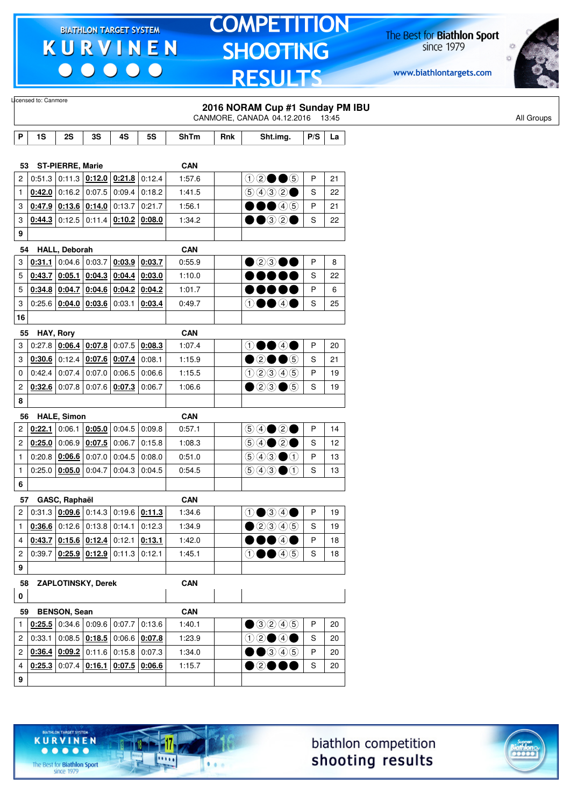$\begin{array}{c|c|c|c|c} \hline \bullet & \bullet & \bullet & \bullet & \bullet \end{array}$ 

# **TOMPETITION SHOOTING RESULTS**

The Best for **Biathlon Sport**<br>since 1979

www.biathlontargets.com



| 1S<br><b>ST-PIERRE, Marie</b><br>53<br>$0.51.3$ 0:11.3 $0.12.0$ 0:21.8 | 2S                            | 3S                                                                                                           |                                                                                                                                                       |                                                                                                                                                                                                                                                     |                                                                                                                                                                                                                                                                                                                                                                                                                                                                                                                                                |                                                                                                                                                                                                                                    | CANMORE, CANADA 04.12.2016                                                                                                                                                                                                                                                                                                                                                                                                         |                                                                                                                                                                                                                                                                                                                                                                                                                                                                      |                                                                              |
|------------------------------------------------------------------------|-------------------------------|--------------------------------------------------------------------------------------------------------------|-------------------------------------------------------------------------------------------------------------------------------------------------------|-----------------------------------------------------------------------------------------------------------------------------------------------------------------------------------------------------------------------------------------------------|------------------------------------------------------------------------------------------------------------------------------------------------------------------------------------------------------------------------------------------------------------------------------------------------------------------------------------------------------------------------------------------------------------------------------------------------------------------------------------------------------------------------------------------------|------------------------------------------------------------------------------------------------------------------------------------------------------------------------------------------------------------------------------------|------------------------------------------------------------------------------------------------------------------------------------------------------------------------------------------------------------------------------------------------------------------------------------------------------------------------------------------------------------------------------------------------------------------------------------|----------------------------------------------------------------------------------------------------------------------------------------------------------------------------------------------------------------------------------------------------------------------------------------------------------------------------------------------------------------------------------------------------------------------------------------------------------------------|------------------------------------------------------------------------------|
|                                                                        |                               |                                                                                                              |                                                                                                                                                       |                                                                                                                                                                                                                                                     |                                                                                                                                                                                                                                                                                                                                                                                                                                                                                                                                                |                                                                                                                                                                                                                                    |                                                                                                                                                                                                                                                                                                                                                                                                                                    |                                                                                                                                                                                                                                                                                                                                                                                                                                                                      | 13:45                                                                        |
|                                                                        |                               |                                                                                                              | 4S                                                                                                                                                    | <b>5S</b>                                                                                                                                                                                                                                           | <b>ShTm</b>                                                                                                                                                                                                                                                                                                                                                                                                                                                                                                                                    | Rnk                                                                                                                                                                                                                                | Sht.img.                                                                                                                                                                                                                                                                                                                                                                                                                           | P/S                                                                                                                                                                                                                                                                                                                                                                                                                                                                  | La                                                                           |
|                                                                        |                               |                                                                                                              |                                                                                                                                                       |                                                                                                                                                                                                                                                     | <b>CAN</b>                                                                                                                                                                                                                                                                                                                                                                                                                                                                                                                                     |                                                                                                                                                                                                                                    |                                                                                                                                                                                                                                                                                                                                                                                                                                    |                                                                                                                                                                                                                                                                                                                                                                                                                                                                      |                                                                              |
|                                                                        |                               |                                                                                                              |                                                                                                                                                       | 0:12.4                                                                                                                                                                                                                                              | 1:57.6                                                                                                                                                                                                                                                                                                                                                                                                                                                                                                                                         |                                                                                                                                                                                                                                    | $02 \bullet 6$                                                                                                                                                                                                                                                                                                                                                                                                                     | P                                                                                                                                                                                                                                                                                                                                                                                                                                                                    | 21                                                                           |
|                                                                        | $0.42.0$ 0:16.2 0:07.5 0:09.4 |                                                                                                              |                                                                                                                                                       | 0:18.2                                                                                                                                                                                                                                              | 1:41.5                                                                                                                                                                                                                                                                                                                                                                                                                                                                                                                                         |                                                                                                                                                                                                                                    | (5)(4)(3)(2)                                                                                                                                                                                                                                                                                                                                                                                                                       | S                                                                                                                                                                                                                                                                                                                                                                                                                                                                    | 22                                                                           |
|                                                                        | $0.47.9$ 0.13.6 0.14.0 0.13.7 |                                                                                                              |                                                                                                                                                       | 0:21.7                                                                                                                                                                                                                                              | 1:56.1                                                                                                                                                                                                                                                                                                                                                                                                                                                                                                                                         |                                                                                                                                                                                                                                    | $\bullet\bullet\bullet$ 45                                                                                                                                                                                                                                                                                                                                                                                                         | P                                                                                                                                                                                                                                                                                                                                                                                                                                                                    | 21                                                                           |
|                                                                        |                               |                                                                                                              | $0.44.3$ 0:12.5 0:11.4 0:10.2 0:08.0                                                                                                                  |                                                                                                                                                                                                                                                     | 1:34.2                                                                                                                                                                                                                                                                                                                                                                                                                                                                                                                                         |                                                                                                                                                                                                                                    | $\bullet\bullet$ 32 $\bullet$                                                                                                                                                                                                                                                                                                                                                                                                      | S                                                                                                                                                                                                                                                                                                                                                                                                                                                                    | 22                                                                           |
|                                                                        |                               |                                                                                                              |                                                                                                                                                       |                                                                                                                                                                                                                                                     |                                                                                                                                                                                                                                                                                                                                                                                                                                                                                                                                                |                                                                                                                                                                                                                                    |                                                                                                                                                                                                                                                                                                                                                                                                                                    |                                                                                                                                                                                                                                                                                                                                                                                                                                                                      |                                                                              |
|                                                                        |                               |                                                                                                              |                                                                                                                                                       |                                                                                                                                                                                                                                                     |                                                                                                                                                                                                                                                                                                                                                                                                                                                                                                                                                |                                                                                                                                                                                                                                    |                                                                                                                                                                                                                                                                                                                                                                                                                                    |                                                                                                                                                                                                                                                                                                                                                                                                                                                                      |                                                                              |
|                                                                        |                               |                                                                                                              |                                                                                                                                                       |                                                                                                                                                                                                                                                     |                                                                                                                                                                                                                                                                                                                                                                                                                                                                                                                                                |                                                                                                                                                                                                                                    |                                                                                                                                                                                                                                                                                                                                                                                                                                    |                                                                                                                                                                                                                                                                                                                                                                                                                                                                      | 8                                                                            |
|                                                                        |                               |                                                                                                              |                                                                                                                                                       |                                                                                                                                                                                                                                                     |                                                                                                                                                                                                                                                                                                                                                                                                                                                                                                                                                |                                                                                                                                                                                                                                    |                                                                                                                                                                                                                                                                                                                                                                                                                                    |                                                                                                                                                                                                                                                                                                                                                                                                                                                                      | 22                                                                           |
|                                                                        |                               |                                                                                                              |                                                                                                                                                       |                                                                                                                                                                                                                                                     |                                                                                                                                                                                                                                                                                                                                                                                                                                                                                                                                                |                                                                                                                                                                                                                                    |                                                                                                                                                                                                                                                                                                                                                                                                                                    |                                                                                                                                                                                                                                                                                                                                                                                                                                                                      | 6                                                                            |
|                                                                        |                               |                                                                                                              |                                                                                                                                                       |                                                                                                                                                                                                                                                     |                                                                                                                                                                                                                                                                                                                                                                                                                                                                                                                                                |                                                                                                                                                                                                                                    |                                                                                                                                                                                                                                                                                                                                                                                                                                    |                                                                                                                                                                                                                                                                                                                                                                                                                                                                      | 25                                                                           |
|                                                                        |                               |                                                                                                              |                                                                                                                                                       |                                                                                                                                                                                                                                                     |                                                                                                                                                                                                                                                                                                                                                                                                                                                                                                                                                |                                                                                                                                                                                                                                    |                                                                                                                                                                                                                                                                                                                                                                                                                                    |                                                                                                                                                                                                                                                                                                                                                                                                                                                                      |                                                                              |
|                                                                        |                               |                                                                                                              |                                                                                                                                                       |                                                                                                                                                                                                                                                     |                                                                                                                                                                                                                                                                                                                                                                                                                                                                                                                                                |                                                                                                                                                                                                                                    |                                                                                                                                                                                                                                                                                                                                                                                                                                    |                                                                                                                                                                                                                                                                                                                                                                                                                                                                      |                                                                              |
|                                                                        |                               |                                                                                                              |                                                                                                                                                       |                                                                                                                                                                                                                                                     |                                                                                                                                                                                                                                                                                                                                                                                                                                                                                                                                                |                                                                                                                                                                                                                                    |                                                                                                                                                                                                                                                                                                                                                                                                                                    |                                                                                                                                                                                                                                                                                                                                                                                                                                                                      | 20                                                                           |
|                                                                        |                               |                                                                                                              |                                                                                                                                                       |                                                                                                                                                                                                                                                     |                                                                                                                                                                                                                                                                                                                                                                                                                                                                                                                                                |                                                                                                                                                                                                                                    |                                                                                                                                                                                                                                                                                                                                                                                                                                    |                                                                                                                                                                                                                                                                                                                                                                                                                                                                      | 21                                                                           |
|                                                                        |                               |                                                                                                              |                                                                                                                                                       |                                                                                                                                                                                                                                                     |                                                                                                                                                                                                                                                                                                                                                                                                                                                                                                                                                |                                                                                                                                                                                                                                    |                                                                                                                                                                                                                                                                                                                                                                                                                                    |                                                                                                                                                                                                                                                                                                                                                                                                                                                                      | 19                                                                           |
|                                                                        |                               |                                                                                                              |                                                                                                                                                       |                                                                                                                                                                                                                                                     |                                                                                                                                                                                                                                                                                                                                                                                                                                                                                                                                                |                                                                                                                                                                                                                                    |                                                                                                                                                                                                                                                                                                                                                                                                                                    |                                                                                                                                                                                                                                                                                                                                                                                                                                                                      | 19                                                                           |
|                                                                        |                               |                                                                                                              |                                                                                                                                                       |                                                                                                                                                                                                                                                     |                                                                                                                                                                                                                                                                                                                                                                                                                                                                                                                                                |                                                                                                                                                                                                                                    |                                                                                                                                                                                                                                                                                                                                                                                                                                    |                                                                                                                                                                                                                                                                                                                                                                                                                                                                      |                                                                              |
|                                                                        |                               |                                                                                                              |                                                                                                                                                       |                                                                                                                                                                                                                                                     |                                                                                                                                                                                                                                                                                                                                                                                                                                                                                                                                                |                                                                                                                                                                                                                                    |                                                                                                                                                                                                                                                                                                                                                                                                                                    |                                                                                                                                                                                                                                                                                                                                                                                                                                                                      |                                                                              |
|                                                                        |                               |                                                                                                              |                                                                                                                                                       |                                                                                                                                                                                                                                                     |                                                                                                                                                                                                                                                                                                                                                                                                                                                                                                                                                |                                                                                                                                                                                                                                    |                                                                                                                                                                                                                                                                                                                                                                                                                                    |                                                                                                                                                                                                                                                                                                                                                                                                                                                                      | 14                                                                           |
|                                                                        |                               |                                                                                                              |                                                                                                                                                       |                                                                                                                                                                                                                                                     |                                                                                                                                                                                                                                                                                                                                                                                                                                                                                                                                                |                                                                                                                                                                                                                                    |                                                                                                                                                                                                                                                                                                                                                                                                                                    |                                                                                                                                                                                                                                                                                                                                                                                                                                                                      | 12                                                                           |
|                                                                        |                               |                                                                                                              |                                                                                                                                                       |                                                                                                                                                                                                                                                     |                                                                                                                                                                                                                                                                                                                                                                                                                                                                                                                                                |                                                                                                                                                                                                                                    |                                                                                                                                                                                                                                                                                                                                                                                                                                    |                                                                                                                                                                                                                                                                                                                                                                                                                                                                      | 13                                                                           |
|                                                                        |                               |                                                                                                              |                                                                                                                                                       |                                                                                                                                                                                                                                                     |                                                                                                                                                                                                                                                                                                                                                                                                                                                                                                                                                |                                                                                                                                                                                                                                    |                                                                                                                                                                                                                                                                                                                                                                                                                                    |                                                                                                                                                                                                                                                                                                                                                                                                                                                                      | 13                                                                           |
|                                                                        |                               |                                                                                                              |                                                                                                                                                       |                                                                                                                                                                                                                                                     |                                                                                                                                                                                                                                                                                                                                                                                                                                                                                                                                                |                                                                                                                                                                                                                                    |                                                                                                                                                                                                                                                                                                                                                                                                                                    |                                                                                                                                                                                                                                                                                                                                                                                                                                                                      |                                                                              |
|                                                                        |                               |                                                                                                              |                                                                                                                                                       |                                                                                                                                                                                                                                                     |                                                                                                                                                                                                                                                                                                                                                                                                                                                                                                                                                |                                                                                                                                                                                                                                    |                                                                                                                                                                                                                                                                                                                                                                                                                                    |                                                                                                                                                                                                                                                                                                                                                                                                                                                                      |                                                                              |
|                                                                        |                               |                                                                                                              |                                                                                                                                                       |                                                                                                                                                                                                                                                     |                                                                                                                                                                                                                                                                                                                                                                                                                                                                                                                                                |                                                                                                                                                                                                                                    |                                                                                                                                                                                                                                                                                                                                                                                                                                    |                                                                                                                                                                                                                                                                                                                                                                                                                                                                      | 19                                                                           |
|                                                                        |                               |                                                                                                              |                                                                                                                                                       |                                                                                                                                                                                                                                                     |                                                                                                                                                                                                                                                                                                                                                                                                                                                                                                                                                |                                                                                                                                                                                                                                    |                                                                                                                                                                                                                                                                                                                                                                                                                                    |                                                                                                                                                                                                                                                                                                                                                                                                                                                                      | 19                                                                           |
|                                                                        |                               |                                                                                                              |                                                                                                                                                       |                                                                                                                                                                                                                                                     |                                                                                                                                                                                                                                                                                                                                                                                                                                                                                                                                                |                                                                                                                                                                                                                                    |                                                                                                                                                                                                                                                                                                                                                                                                                                    |                                                                                                                                                                                                                                                                                                                                                                                                                                                                      | 18                                                                           |
|                                                                        |                               |                                                                                                              |                                                                                                                                                       |                                                                                                                                                                                                                                                     |                                                                                                                                                                                                                                                                                                                                                                                                                                                                                                                                                |                                                                                                                                                                                                                                    |                                                                                                                                                                                                                                                                                                                                                                                                                                    |                                                                                                                                                                                                                                                                                                                                                                                                                                                                      | 18                                                                           |
|                                                                        |                               |                                                                                                              |                                                                                                                                                       |                                                                                                                                                                                                                                                     |                                                                                                                                                                                                                                                                                                                                                                                                                                                                                                                                                |                                                                                                                                                                                                                                    |                                                                                                                                                                                                                                                                                                                                                                                                                                    |                                                                                                                                                                                                                                                                                                                                                                                                                                                                      |                                                                              |
|                                                                        |                               |                                                                                                              |                                                                                                                                                       |                                                                                                                                                                                                                                                     |                                                                                                                                                                                                                                                                                                                                                                                                                                                                                                                                                |                                                                                                                                                                                                                                    |                                                                                                                                                                                                                                                                                                                                                                                                                                    |                                                                                                                                                                                                                                                                                                                                                                                                                                                                      |                                                                              |
|                                                                        |                               |                                                                                                              |                                                                                                                                                       |                                                                                                                                                                                                                                                     |                                                                                                                                                                                                                                                                                                                                                                                                                                                                                                                                                |                                                                                                                                                                                                                                    |                                                                                                                                                                                                                                                                                                                                                                                                                                    |                                                                                                                                                                                                                                                                                                                                                                                                                                                                      |                                                                              |
| 59                                                                     |                               |                                                                                                              |                                                                                                                                                       |                                                                                                                                                                                                                                                     | <b>CAN</b>                                                                                                                                                                                                                                                                                                                                                                                                                                                                                                                                     |                                                                                                                                                                                                                                    |                                                                                                                                                                                                                                                                                                                                                                                                                                    |                                                                                                                                                                                                                                                                                                                                                                                                                                                                      |                                                                              |
|                                                                        |                               |                                                                                                              |                                                                                                                                                       |                                                                                                                                                                                                                                                     | 1:40.1                                                                                                                                                                                                                                                                                                                                                                                                                                                                                                                                         |                                                                                                                                                                                                                                    | ①②④④⑤                                                                                                                                                                                                                                                                                                                                                                                                                              | P                                                                                                                                                                                                                                                                                                                                                                                                                                                                    | 20                                                                           |
|                                                                        |                               |                                                                                                              |                                                                                                                                                       |                                                                                                                                                                                                                                                     | 1:23.9                                                                                                                                                                                                                                                                                                                                                                                                                                                                                                                                         |                                                                                                                                                                                                                                    | $02 \bullet 4 \bullet$                                                                                                                                                                                                                                                                                                                                                                                                             | S                                                                                                                                                                                                                                                                                                                                                                                                                                                                    | 20                                                                           |
|                                                                        |                               |                                                                                                              |                                                                                                                                                       |                                                                                                                                                                                                                                                     | 1:34.0                                                                                                                                                                                                                                                                                                                                                                                                                                                                                                                                         |                                                                                                                                                                                                                                    | $\begin{array}{ c c c }\hline \textbf{O} & \textbf{O} & \textbf{O} & \textbf{O} & \textbf{O} \\\hline \textbf{O} & \textbf{O} & \textbf{O} & \textbf{O} & \textbf{O} \\\hline \textbf{O} & \textbf{O} & \textbf{O} & \textbf{O} & \textbf{O} & \textbf{O} \\\hline \textbf{O} & \textbf{O} & \textbf{O} & \textbf{O} & \textbf{O} & \textbf{O} \\\hline \textbf{O} & \textbf{O} & \textbf{O} & \textbf{O} & \textbf{O} & \textbf{$ | P                                                                                                                                                                                                                                                                                                                                                                                                                                                                    | 20                                                                           |
|                                                                        |                               |                                                                                                              |                                                                                                                                                       |                                                                                                                                                                                                                                                     | 1:15.7                                                                                                                                                                                                                                                                                                                                                                                                                                                                                                                                         |                                                                                                                                                                                                                                    | $\bullet$ 2000                                                                                                                                                                                                                                                                                                                                                                                                                     | S                                                                                                                                                                                                                                                                                                                                                                                                                                                                    | 20                                                                           |
|                                                                        |                               |                                                                                                              |                                                                                                                                                       |                                                                                                                                                                                                                                                     |                                                                                                                                                                                                                                                                                                                                                                                                                                                                                                                                                |                                                                                                                                                                                                                                    |                                                                                                                                                                                                                                                                                                                                                                                                                                    |                                                                                                                                                                                                                                                                                                                                                                                                                                                                      |                                                                              |
|                                                                        | 54<br>55<br>56<br>57<br>58    | 0:31.1<br>0:43.7<br>0:05.1<br>0:25.6   0:04.0<br>HAY, Rory<br>0:27.8<br>0:22.1<br>0:06.1<br>0:06.9<br>0:25.0 | <b>HALL, Deborah</b><br>$0:34.8$ 0:04.7<br>0:06.4<br>$0:42.4$ 0:07.4<br>$0.32.6$ 0:07.8<br><b>HALE, Simon</b><br>GASC, Raphaël<br><b>BENSON, Sean</b> | $0.04.6$ 0.03.7<br>$0:04.3$ 0:04.4<br>$0:03.6$ 0:03.1<br>$0:07.8$ 0:07.5<br>$0.30.6$ 0:12.4 0:07.6 0:07.4<br>$0:07.0$ 0:06.5<br>$0.07.6$ 0.07.3<br>$0:05.0$ 0:04.5<br>0:07.5<br>0:06.7<br>$0.20.8$   0.06.6   0.07.0   0.04.5<br>ZAPLOTINSKY, Derek | 0:03.9<br>0:03.7<br>0:03.0<br>$0.04.6$ 0.04.2 0.04.2<br>0:03.4<br>0:08.3<br>0:08.1<br>0:06.6<br>0:06.7<br>0:09.8<br>0:15.8<br>0:08.0<br>$0.25.0 \mid 0.05.0 \mid 0.04.7 \mid 0.04.3$<br>0.04.5<br>$0:31.3$ $0:09.6$ 0:14.3 0:19.6 0:11.3<br>$0.36.6$ 0:12.6 0:13.8 0:14.1 0:12.3<br>$0.43.7$ 0.15.6 0.12.4 0.12.1 0.13.1<br>$0:39.7$ $0:25.9$ $0:12.9$ 0:11.3 0:12.1<br>$0.25.5$ 0.34.6 0.09.6 0.07.7 0.13.6<br>$0.33.1   0.08.5   0.18.5   0.06.6   0.07.8$<br>$0.36.4$ $0.09.2$ 0.11.6 0.15.8 0.07.3<br>$0.25.3$ 0:07.4 0:16.1 0:07.5 0:06.6 | <b>CAN</b><br>0:55.9<br>1:10.0<br>1:01.7<br>0:49.7<br><b>CAN</b><br>1:07.4<br>1:15.9<br>1:15.5<br>1:06.6<br><b>CAN</b><br>0:57.1<br>1:08.3<br>0:51.0<br>0:54.5<br><b>CAN</b><br>1:34.6<br>1:34.9<br>1:42.0<br>1:45.1<br><b>CAN</b> |                                                                                                                                                                                                                                                                                                                                                                                                                                    | $\bullet$ 2300<br><br><br>①●●④●<br>$\textcircled{\small{\textbullet}}\textcircled{\small{\textbullet}}\textcircled{\small{\textbullet}}$<br>$\bullet$ 2005<br>$(1)$ $(2)$ $(3)$ $(4)$ $(5)$<br>$\bullet$ 20 $\bullet$ 5<br>$\bigcirc \bigcirc \bigcirc \bigcirc \bigcirc \bigcirc$<br>$\bigcirc$ $\bigcirc$ $\bigcirc$ $\bigcirc$<br>$\bigcirc$ 4300<br>00000<br>$\bigcirc$ 2345<br>$\bullet\bullet\bullet\circ\bullet$<br>$\bigcirc \bullet \bullet \bigcirc \circ$ | P<br>S<br>P<br>S<br>P<br>S<br>P<br>S<br>P<br>S<br>P<br>S<br>P<br>S<br>P<br>S |

biathlon competition shooting results



The Best for **Biathlon Sport**<br>since 1979

TARGET SYSTEM

-17

 $\overline{\cdots}$ 

 $1.1.1$ 

**KURVINEN**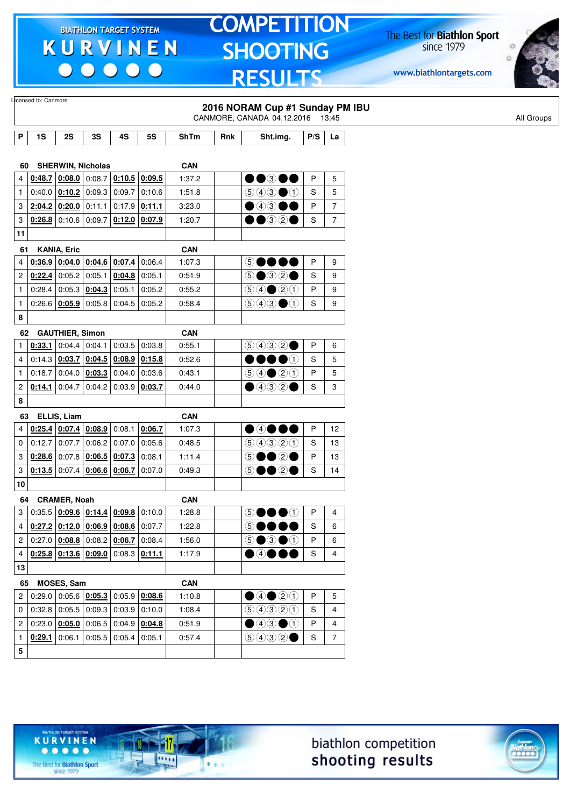$\begin{array}{c|c|c|c|c} \hline \bullet & \bullet & \bullet & \bullet & \bullet \end{array}$ 

# **TOMPETITION SHOOTING RESULTS**

The Best for **Biathlon Sport**<br>since 1979

www.biathlontargets.com



|                | Licensed to: Canmore                   |                                   |        |                                                                         |                 |             |     |                                                                            |     |                |  |            |
|----------------|----------------------------------------|-----------------------------------|--------|-------------------------------------------------------------------------|-----------------|-------------|-----|----------------------------------------------------------------------------|-----|----------------|--|------------|
|                |                                        |                                   |        |                                                                         |                 |             |     | 2016 NORAM Cup #1 Sunday PM IBU                                            |     |                |  |            |
|                |                                        |                                   |        |                                                                         |                 |             |     | CANMORE, CANADA 04.12.2016 13:45                                           |     |                |  | All Groups |
| P              | 1S                                     | 2S                                | 3S     | 4S                                                                      | 5S              | <b>ShTm</b> | Rnk | Sht.img.                                                                   | P/S | La             |  |            |
|                |                                        |                                   |        |                                                                         |                 |             |     |                                                                            |     |                |  |            |
| 60             |                                        | <b>SHERWIN, Nicholas</b>          |        |                                                                         |                 | <b>CAN</b>  |     |                                                                            |     |                |  |            |
| 4              |                                        |                                   |        | $0.48.7$ $0.08.0$ $0.08.7$ $0.10.5$ $0.09.5$                            |                 | 1:37.2      |     | $\bullet\bullet$ 300                                                       | P   | 5              |  |            |
| 1              |                                        | 0:40.0 $ 0:10.2 $                 | 0:09.3 | 0:09.7                                                                  | 0:10.6          | 1:51.8      |     | $\bigcirc$ 4300                                                            | S   | 5              |  |            |
| 3              |                                        | $2:04.2$ 0:20.0                   | 0:11.1 | 0:17.9                                                                  | 0:11.1          | 3:23.0      |     | $\bullet$ 4300                                                             | P   | $\overline{7}$ |  |            |
| 3              |                                        | $0.26.8$ 0:10.6 0:09.7            |        |                                                                         | $0:12.0$ 0:07.9 | 1:20.7      |     | $\bullet\textcolor{red}{\bullet\circledcirc}\textcolor{red}{\circ\bullet}$ | S   | $\overline{7}$ |  |            |
| 11             |                                        |                                   |        |                                                                         |                 |             |     |                                                                            |     |                |  |            |
| 61             |                                        | <b>KANIA, Eric</b>                |        |                                                                         |                 | <b>CAN</b>  |     |                                                                            |     |                |  |            |
| 4              |                                        |                                   |        | $0.36.9$ $0.04.0$ $0.04.6$ $0.07.4$                                     | 0:06.4          | 1:07.3      |     | 50000                                                                      | P   | 9              |  |            |
| $\overline{c}$ |                                        | $0:22.4$ 0:05.2 0:05.1            |        | 0:04.8                                                                  | 0:05.1          | 0.51.9      |     | $\circledcirc$ $\circledcirc$ $\circ$                                      | S   | 9              |  |            |
| 1              |                                        | $0:28.4$ 0:05.3                   | 0:04.3 | 0:05.1                                                                  | 0:05.2          | 0:55.2      |     | $\bigcirc \bigcirc \bigcirc \bigcirc \bigcirc \bigcirc \bigcirc$           | P   | 9              |  |            |
| 1              |                                        | 0:26.6   0:05.9                   | 0:05.8 | 0:04.5                                                                  | 0:05.2          | 0:58.4      |     | $\circledcirc \circledcirc \bullet \circledcirc$                           | S   | 9              |  |            |
| 8              |                                        |                                   |        |                                                                         |                 |             |     |                                                                            |     |                |  |            |
| 62             |                                        | <b>GAUTHIER, Simon</b>            |        |                                                                         |                 | <b>CAN</b>  |     |                                                                            |     |                |  |            |
| 1              |                                        | $0:33.1$ 0:04.4 0:04.1            |        | 0:03.5                                                                  | 0:03.8          | 0:55.1      |     | 9992                                                                       | P   | 6              |  |            |
| 4              |                                        | 0.14.3   0.03.7                   |        | $0:04.5$ 0:08.9                                                         | 0:15.8          | 0:52.6      |     | $\bullet\bullet\bullet\circ$                                               | S   | 5              |  |            |
| 1              | 0:18.7                                 | 0:04.0                            | 0:03.3 | 0:04.0                                                                  | 0:03.6          | 0.43.1      |     | $\bigcirc \bigcirc \bigcirc \bigcirc \bigcirc \bigcirc \bigcirc \bigcirc$  | P   | 5              |  |            |
| 2              | 0:14.1                                 | 0:04.7                            | 0:04.2 | 0:03.9                                                                  | 0:03.7          | 0.44.0      |     | $\bullet$ 432 $\bullet$                                                    | S   | 3              |  |            |
| 8              |                                        |                                   |        |                                                                         |                 |             |     |                                                                            |     |                |  |            |
| 63             |                                        | ELLIS, Liam                       |        |                                                                         |                 | <b>CAN</b>  |     |                                                                            |     |                |  |            |
| 4              |                                        | $0.25.4$ $0.07.4$ $0.08.9$ 0:08.1 |        |                                                                         | 0:06.7          | 1:07.3      |     | $\bullet$ 4000                                                             | P   | 12             |  |            |
| 0              | 0:12.7                                 | 0:07.7                            | 0:06.2 | 0:07.0                                                                  | 0:05.6          | 0:48.5      |     | 99920                                                                      | S   | 13             |  |            |
| 3              |                                        | $0.28.6$ 0:07.8                   | 0:06.5 | 0:07.3                                                                  | 0:08.1          | 1:11.4      |     | 5●●2●                                                                      | P   | 13             |  |            |
| 3              |                                        | $0:13.5$ 0:07.4                   | 0:06.6 | 0:06.7                                                                  | 0.07.0          | 0:49.3      |     | 5●●2●                                                                      | S   | 14             |  |            |
| 10             |                                        |                                   |        |                                                                         |                 |             |     |                                                                            |     |                |  |            |
| 64             |                                        | <b>CRAMER, Noah</b>               |        |                                                                         |                 | <b>CAN</b>  |     |                                                                            |     |                |  |            |
| 3              |                                        |                                   |        | $0:35.5   0:09.6   0:14.4   0:09.8   0:10.0$                            |                 | 1:28.8      |     | 50000                                                                      | P   | 4              |  |            |
| 4              |                                        |                                   |        | $\vert 0.27.2 \, \vert 0.12.0 \, \vert 0.06.9 \, \vert 0.08.6 \, \vert$ | 0:07.7          | 1:22.8      |     | 60000                                                                      | S   | 6              |  |            |
| $\mathbf{2}$   |                                        |                                   |        | 0.27.0   0.08.8   0.08.2   0.06.7                                       | 0:08.4          | 1:56.0      |     | $\circledcirc \bullet \circledcirc \bullet \circledcirc$                   | P   | 6              |  |            |
| 4              |                                        |                                   |        | $0.25.8$ $0.13.6$ $0.09.0$ $0.08.3$ $0.11.1$                            |                 | 1:17.9      |     | $\bullet$ 4000                                                             | S   | 4              |  |            |
| 13             |                                        |                                   |        |                                                                         |                 |             |     |                                                                            |     |                |  |            |
| 65             |                                        | MOSES, Sam                        |        |                                                                         |                 | <b>CAN</b>  |     |                                                                            |     |                |  |            |
|                | 2 0:29.0 0:05.6 $0.05.3$ 0:05.9 0:08.6 |                                   |        |                                                                         |                 | 1:10.8      |     | ④④②③                                                                       | P   | 5              |  |            |
| 0              |                                        |                                   |        | $0.32.8$ 0.05.5 0.09.3 0.03.9 0.10.0                                    |                 | 1:08.4      |     | 99900                                                                      | S   | 4              |  |            |
| 2              |                                        |                                   |        | $0:23.0$ $0.05.0$ $0:06.5$ $0.04.9$ $0.04.8$                            |                 | 0:51.9      |     | $\bigcirc$ 4300                                                            | P   | 4              |  |            |
| $\mathbf{1}$   |                                        |                                   |        | $0.29.1$ 0:06.1 0:05.5 0:05.4 0:05.1                                    |                 | 0:57.4      |     | (50000)                                                                    | S   | $\overline{7}$ |  |            |
| 5              |                                        |                                   |        |                                                                         |                 |             |     |                                                                            |     |                |  |            |





The Best for **Biathlon Sport**<br>since 1979

TARGET SYSTEM

17

 $\overline{\cdots}$ 

 $1.1.1$ 

**KURVINEN** 

 $\begin{array}{ccccccccccccccccc} \bullet & \bullet & \bullet & \bullet & \bullet & \bullet & \bullet \end{array}$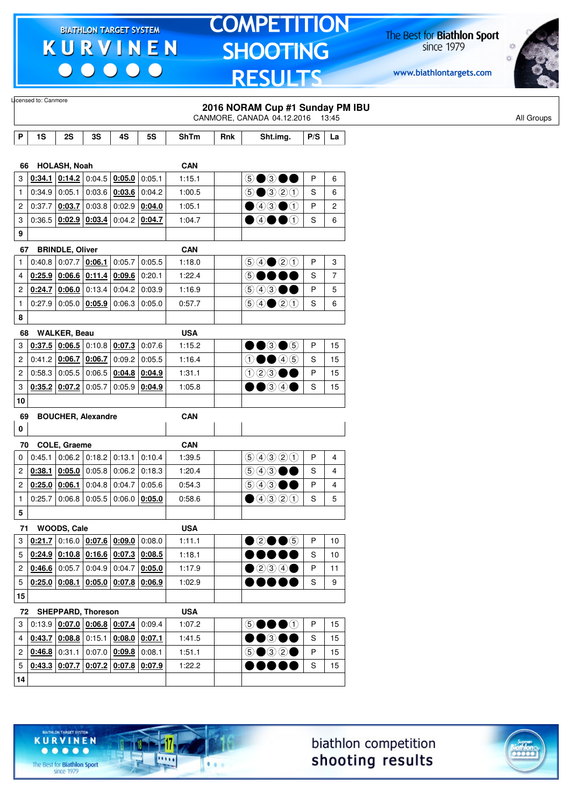$\begin{array}{c|c|c|c|c} \hline \bullet & \bullet & \bullet & \bullet & \bullet \end{array}$ 

# **TOMPETITION SHOOTING RESULTS**

The Best for **Biathlon Sport**<br>since 1979

www.biathlontargets.com



|                         |                                                  |                                               |                 |                                                                            |           |             |     | 2016 NORAM Cup #1 Sunday PM IBU<br>CANMORE, CANADA 04.12.2016 13:45       |               |                |
|-------------------------|--------------------------------------------------|-----------------------------------------------|-----------------|----------------------------------------------------------------------------|-----------|-------------|-----|---------------------------------------------------------------------------|---------------|----------------|
| P                       | 1S                                               | 2S                                            | 3S              | 4S                                                                         | <b>5S</b> | <b>ShTm</b> | Rnk | Sht.img.                                                                  | P/S           | La             |
|                         |                                                  |                                               |                 |                                                                            |           |             |     |                                                                           |               |                |
| 66                      |                                                  | HOLASH, Noah                                  |                 |                                                                            |           | <b>CAN</b>  |     |                                                                           |               |                |
| 3                       | 0:34.1                                           |                                               | $0:14.2$ 0:04.5 | 0:05.0                                                                     | 0:05.1    | 1:15.1      |     | 5●3●●                                                                     | P             | 6              |
| $\mathbf{1}$            | 0:34.9                                           | 0.05.1                                        |                 | $0:03.6$ 0:03.6                                                            | 0:04.2    | 1:00.5      |     | $\bigcirc$ $\bigcirc$ $\bigcirc$ $\bigcirc$                               | S             | 6              |
| $\overline{\mathbf{c}}$ | 0:37.7                                           | 0:03.7                                        | 0:03.8          | $0:02.9$ 0:04.0                                                            |           | 1:05.1      |     | $\bigcirc$ 43 $\bigcirc$ 1                                                | P             | $\overline{c}$ |
| 3                       | 0:36.5                                           |                                               | $0:02.9$ 0:03.4 | $0.04.2$ 0:04.7                                                            |           | 1:04.7      |     | $\bullet$ 40 $\bullet$ 0                                                  | S             | 6              |
| 9                       |                                                  |                                               |                 |                                                                            |           |             |     |                                                                           |               |                |
| 67                      |                                                  | <b>BRINDLE, Oliver</b>                        |                 |                                                                            |           | <b>CAN</b>  |     |                                                                           |               |                |
| 1                       | 0:40.8                                           | 0:07.7                                        | 0:06.1          | 0:05.7                                                                     | 0:05.5    | 1:18.0      |     | $\bigcirc \bigcirc \bigcirc \bigcirc \bigcirc \bigcirc \bigcirc$          | P             | 3              |
| 4                       |                                                  | $0:25.9$ 0:06.6 0:11.4                        |                 | 0:09.6                                                                     | 0:20.1    | 1:22.4      |     | $\circledS$                                                               | S             | $\overline{7}$ |
| $\boldsymbol{2}$        |                                                  | $0.24.7$ 0.06.0 0.13.4                        |                 | 0:04.2                                                                     | 0:03.9    | 1:16.9      |     | $\circledcirc$ 4300                                                       | P             | 5              |
| 1                       | 0:27.9                                           |                                               | 0.05.0   0.05.9 | 0:06.3                                                                     | 0:05.0    | 0:57.7      |     | $\bigcirc \bigcirc \bigcirc \bigcirc \bigcirc \bigcirc \bigcirc \bigcirc$ | S             | 6              |
| 8                       |                                                  |                                               |                 |                                                                            |           |             |     |                                                                           |               |                |
|                         |                                                  |                                               |                 |                                                                            |           | <b>USA</b>  |     |                                                                           |               |                |
| 68<br>3                 |                                                  | <b>WALKER, Beau</b><br>$0.37.5$ 0.06.5 0.10.8 |                 | 0:07.3                                                                     | 0:07.6    | 1:15.2      |     | $\bullet\bullet$ 3 $\bullet$ 5                                            | P             | 15             |
|                         |                                                  | 0.41.2 0.06.7                                 |                 |                                                                            |           |             |     | $0 \bullet 40$                                                            | ${\mathsf S}$ |                |
| $\overline{\mathbf{c}}$ |                                                  |                                               | 0:06.7          | 0:09.2                                                                     | 0:05.5    | 1:16.4      |     |                                                                           |               | 15             |
| $\overline{\mathbf{c}}$ |                                                  | 0.58.3   0.05.5   0.06.5                      |                 | $0:04.8$ 0:04.9                                                            |           | 1:31.1      |     | 123●●                                                                     | P             | 15             |
| 3                       |                                                  | $0:35.2$ 0:07.2 0:05.7                        |                 | $0.05.9$ 0:04.9                                                            |           | 1:05.8      |     | $\bullet$ $\bullet$ 3 4 $\bullet$                                         | S             | 15             |
| 10                      |                                                  |                                               |                 |                                                                            |           |             |     |                                                                           |               |                |
| 69                      |                                                  | <b>BOUCHER, Alexandre</b>                     |                 |                                                                            |           | <b>CAN</b>  |     |                                                                           |               |                |
| 0                       |                                                  |                                               |                 |                                                                            |           |             |     |                                                                           |               |                |
| 70                      |                                                  | COLE, Graeme                                  |                 |                                                                            |           | <b>CAN</b>  |     |                                                                           |               |                |
| 0                       | 0:45.1                                           |                                               |                 | $0.06.2$ 0:18.2 0:13.1                                                     | 0:10.4    | 1:39.5      |     | 9990                                                                      | P             | 4              |
| $\overline{c}$          | 0:38.1                                           |                                               | $0:05.0$ 0:05.8 | 0:06.2                                                                     | 0:18.3    | 1:20.4      |     | $\circledcirc$ 4300                                                       | S             | $\overline{4}$ |
| 2                       | 0:25.0                                           | 0:06.1                                        | 0:04.8          | 0:04.7                                                                     | 0:05.6    | 0:54.3      |     | (5) 4 3                                                                   | P             | 4              |
| $\mathbf{1}$            | 0:25.7                                           |                                               | $0.06.8$ 0:05.5 | $0:06.0$ 0:05.0                                                            |           | 0:58.6      |     | $\bullet$ 4320                                                            | S             | 5              |
| 5                       |                                                  |                                               |                 |                                                                            |           |             |     |                                                                           |               |                |
|                         | 71 WOODS, Cale                                   |                                               |                 |                                                                            |           | <b>USA</b>  |     |                                                                           |               |                |
| 3                       |                                                  |                                               |                 | $\vert 0.21.7 \vert 0.16.0 \vert 0.07.6 \vert 0.09.0 \vert$                | 0:08.0    | 1:11.1      |     | $\bullet$ 2 $\bullet$ 6                                                   | P             | 10             |
| 5 <sup>1</sup>          |                                                  |                                               |                 | $\vert$ 0:24.9 $\vert$ 0:10.8 $\vert$ 0:16.6 $\vert$ 0:07.3 $\vert$ 0:08.5 |           | 1:18.1      |     | 00000                                                                     | S             | 10             |
|                         | $2   0.46.6   0.05.7   0.04.9   0.04.7   0.05.0$ |                                               |                 |                                                                            |           | 1:17.9      |     | $\bullet$ 2000                                                            | P             | 11             |
|                         |                                                  |                                               |                 | $\vert 0.25.0 \vert 0.08.1 \vert 0.05.0 \vert 0.07.8 \vert 0.06.9$         |           |             |     |                                                                           |               |                |
| 5                       |                                                  |                                               |                 |                                                                            |           | 1:02.9      |     | 00000                                                                     | ${\mathsf S}$ | 9              |
| $15\,$                  |                                                  |                                               |                 |                                                                            |           |             |     |                                                                           |               |                |
|                         | 72 SHEPPARD, Thoreson                            |                                               |                 |                                                                            |           | <b>USA</b>  |     |                                                                           |               |                |
| 3 <sup>1</sup>          |                                                  |                                               |                 | 0.13.9   0.07.0   0.06.8   0.07.4                                          | 0:09.4    | 1:07.2      |     | 50000                                                                     | P             | 15             |
|                         |                                                  |                                               |                 | $0.43.7$ $0.08.8$ 0:15.1 0:08.0 0:07.1                                     |           | 1:41.5      |     | $\bullet\bullet$ 300                                                      | ${\mathsf S}$ | 15             |
| $\overline{4}$          |                                                  |                                               |                 |                                                                            |           | 1:51.1      |     | $5\bullet 32\bullet$                                                      | P             | 15             |
| 2                       | $0.46.8$ 0.31.1 0.07.0 0.09.8 0.08.1             |                                               |                 |                                                                            |           |             |     |                                                                           |               |                |
| 5                       |                                                  |                                               |                 | $0.43.3$ $0.07.7$ $0.07.2$ $0.07.8$ $0.07.9$                               |           | 1:22.2      |     | ,,,,,                                                                     | ${\mathsf S}$ | 15             |





The Best for **Biathlon Sport**<br>since 1979

TARGET SYSTEM

17

.....

 $1.1.1$ 

**KURVINEN**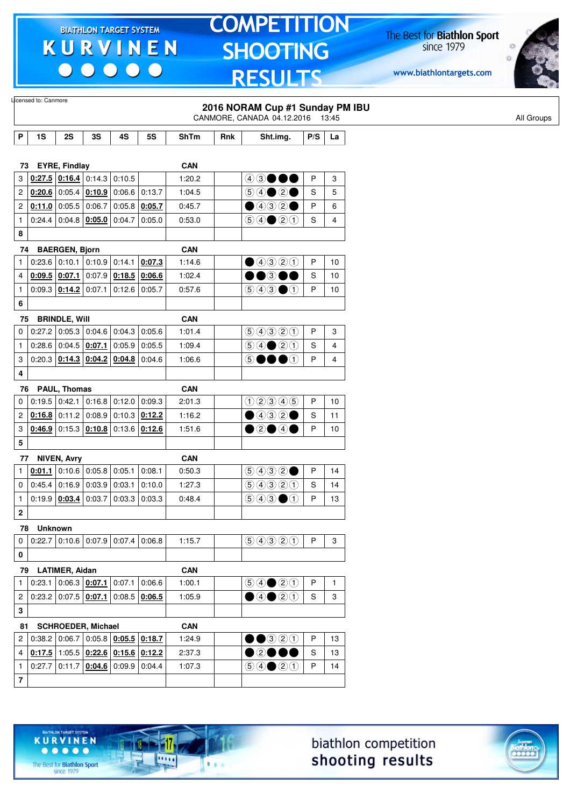$\begin{array}{c|c|c|c|c} \hline \bullet & \bullet & \bullet & \bullet & \bullet \end{array}$ 

# **TOMPETITION** SHOOTING **RESULTS**

The Best for **Biathlon Sport**<br>since 1979

www.biathlontargets.com



|                         | Licensed to: Canmore |                       |                                                                            |        |                 |                      |     | 2016 NORAM Cup #1 Sunday PM IBU<br>CANMORE, CANADA 04.12.2016 13:45                    |              |                |
|-------------------------|----------------------|-----------------------|----------------------------------------------------------------------------|--------|-----------------|----------------------|-----|----------------------------------------------------------------------------------------|--------------|----------------|
| P                       | 1S                   | 2S                    | 3S                                                                         | 4S     | <b>5S</b>       | <b>ShTm</b>          | Rnk | Sht.img.                                                                               | P/S          | La             |
|                         |                      |                       |                                                                            |        |                 |                      |     |                                                                                        |              |                |
| 73                      |                      | <b>EYRE, Findlay</b>  |                                                                            |        |                 | <b>CAN</b>           |     |                                                                                        |              |                |
| 3                       |                      |                       | $0.27.5$ 0.16.4 0.14.3                                                     | 0:10.5 |                 | 1:20.2               |     | $43\bullet\bullet\bullet$                                                              | P            | 3              |
| $\mathbf{2}$            |                      |                       | $0.20.6$ 0.05.4 0.10.9                                                     |        | $0:06.6$ 0:13.7 | 1:04.5               |     |                                                                                        | S            | 5              |
| $\overline{c}$          |                      |                       | 0:11.0 0:05.5 0:06.7                                                       |        | $0:05.8$ 0:05.7 | 0:45.7               |     | $\bullet$ 432 $\bullet$                                                                | P            | 6              |
| $\mathbf{1}$            |                      |                       | $0:24.4$ 0:04.8 0:05.0                                                     | 0:04.7 | 0:05.0          | 0:53.0               |     | $\bigcirc \bigcirc \bigcirc \bigcirc \bigcirc \bigcirc \bigcirc$                       | S            | 4              |
| 8                       |                      |                       |                                                                            |        |                 |                      |     |                                                                                        |              |                |
| 74                      |                      | <b>BAERGEN, Bjorn</b> |                                                                            |        |                 | <b>CAN</b>           |     |                                                                                        |              |                |
| $\mathbf{1}$            |                      |                       | $0:23.6$ 0:10.1 0:10.9                                                     |        | $0:14.1$ 0:07.3 | 1:14.6               |     | ④④③③                                                                                   | P            | 10             |
| 4                       |                      | $0.09.5$ 0.07.1       | 0:07.9                                                                     |        | $0:18.5$ 0:06.6 | 1:02.4               |     | $\bullet$ $\circ$                                                                      | S            | 10             |
| $\mathbf{1}$            |                      | $0:09.3$ 0:14.2       | 0:07.1                                                                     |        | $0:12.6$ 0:05.7 | 0:57.6               |     | $\textcircled{\scriptsize{9}}\textcircled{\scriptsize{9}}\textcircled{\scriptsize{1}}$ | P            | 10             |
| 6                       |                      |                       |                                                                            |        |                 |                      |     |                                                                                        |              |                |
| 75                      |                      | <b>BRINDLE, Will</b>  |                                                                            |        |                 | <b>CAN</b>           |     |                                                                                        |              |                |
| $\mathbf 0$             |                      |                       | $0:27.2$ 0:05.3 0:04.6                                                     |        | $0:04.3$ 0:05.6 | 1:01.4               |     | 99900                                                                                  | P            | 3              |
| $\mathbf{1}$            |                      |                       | $0:28.6$ 0:04.5 0:07.1                                                     |        | $0:05.9$ 0:05.5 | 1:09.4               |     | $\bigcirc \bigcirc \bigcirc \bigcirc \bigcirc \bigcirc \bigcirc$                       | S            | 4              |
| 3                       |                      |                       | $0:20.3$ 0:14.3 0:04.2                                                     |        | $0:04.8$ 0:04.6 | 1:06.6               |     | 50000                                                                                  | P            | $\overline{4}$ |
| 4                       |                      |                       |                                                                            |        |                 |                      |     |                                                                                        |              |                |
|                         | 76                   | PAUL, Thomas          |                                                                            |        |                 | <b>CAN</b>           |     |                                                                                        |              |                |
| 0                       |                      |                       | $0:19.5$ 0:42.1 0:16.8                                                     | 0:12.0 | 0:09.3          | 2:01.3               |     | (100000)                                                                               | P            | 10             |
| $\overline{c}$          |                      | $0:16.8$ 0:11.2       | 0:08.9                                                                     |        | $0:10.3$ 0:12.2 | 1:16.2               |     | $\bullet$ 432 $\bullet$                                                                | S            | 11             |
| 3                       |                      |                       | $0.46.9$ 0:15.3 $0.10.8$ 0:13.6 $0.12.6$                                   |        |                 | 1:51.6               |     | ●②●④●                                                                                  | P            | 10             |
| 5                       |                      |                       |                                                                            |        |                 |                      |     |                                                                                        |              |                |
| 77                      |                      | <b>NIVEN, Avry</b>    |                                                                            |        |                 | <b>CAN</b>           |     |                                                                                        |              |                |
| $\mathbf{1}$            | 0:01.1               |                       | $0:10.6$ 0:05.8                                                            | 0:05.1 | 0:08.1          | 0:50.3               |     | $\bigcirc \bigcirc \bigcirc \bigcirc \bigcirc \bigcirc \bullet$                        | P            | 14             |
| 0                       | 0:45.4               | 0:16.9                | 0:03.9                                                                     | 0:03.1 | 0:10.0          | 1:27.3               |     | 99900                                                                                  | S            | 14             |
| $\mathbf{1}$            |                      | 0:19.9   0:03.4       | 0:03.7                                                                     |        | $0:03.3$ 0:03.3 | 0.48.4               |     | $\bigcirc$ 4300                                                                        | P            | 13             |
| $\mathbf 2$             |                      |                       |                                                                            |        |                 |                      |     |                                                                                        |              |                |
|                         | <b>Unknown</b><br>78 |                       |                                                                            |        |                 |                      |     |                                                                                        |              |                |
| $\mathbf 0$             |                      |                       | $0.22.7$ 0.10.6 0.07.9 0.07.4 0.06.8                                       |        |                 | 1:15.7               |     | 9990                                                                                   | $\mathsf{P}$ | 3              |
| 0                       |                      |                       |                                                                            |        |                 |                      |     |                                                                                        |              |                |
|                         |                      |                       |                                                                            |        |                 |                      |     |                                                                                        |              |                |
| 79<br>$\mathbf{1}$      | 0:23.1               | <b>LATIMER, Aidan</b> | $0:06.3$ 0:07.1                                                            |        | $0:07.1$ 0:06.6 | <b>CAN</b><br>1:00.1 |     | $\textcircled{\scriptsize{9}}\textcircled{\scriptsize{9}}\textcircled{\scriptsize{1}}$ | $\mathsf{P}$ | $\mathbf{1}$   |
|                         |                      |                       | 0.23.2   0.07.5   0.07.1                                                   |        | $0:08.5$ 0:06.5 |                      |     | $\bigcirc$ 40 $\bigcirc$ 0                                                             | S            | 3              |
| $\overline{c}$          |                      |                       |                                                                            |        |                 | 1:05.9               |     |                                                                                        |              |                |
| 3                       |                      |                       |                                                                            |        |                 |                      |     |                                                                                        |              |                |
| 81                      |                      |                       | <b>SCHROEDER, Michael</b>                                                  |        |                 | <b>CAN</b>           |     |                                                                                        |              |                |
| $\mathbf{2}^{\prime}$   |                      |                       | $0.38.2$ 0.06.7 0.05.8 0.05.5 0.18.7                                       |        |                 | 1:24.9               |     | $\bullet\bullet$ 320                                                                   | P            | 13             |
| $\overline{4}$          |                      |                       | $\vert$ 0:17.5 $\vert$ 1:05.5 $\vert$ 0:22.6 $\vert$ 0:15.6 $\vert$ 0:12.2 |        |                 | 2:37.3               |     | $\bullet$ 20                                                                           | $\mathbf S$  | 13             |
| $\mathbf{1}$            |                      |                       | $0.27.7$ 0.11.7 0.04.6 0.09.9 0.04.4                                       |        |                 | 1:07.3               |     | $\bigcirc \bigcirc \bigcirc \bigcirc \bigcirc \bigcirc \bigcirc$                       | P            | 14             |
| $\overline{\mathbf{7}}$ |                      |                       |                                                                            |        |                 |                      |     |                                                                                        |              |                |



-17

 $\overline{\cdots}$ 

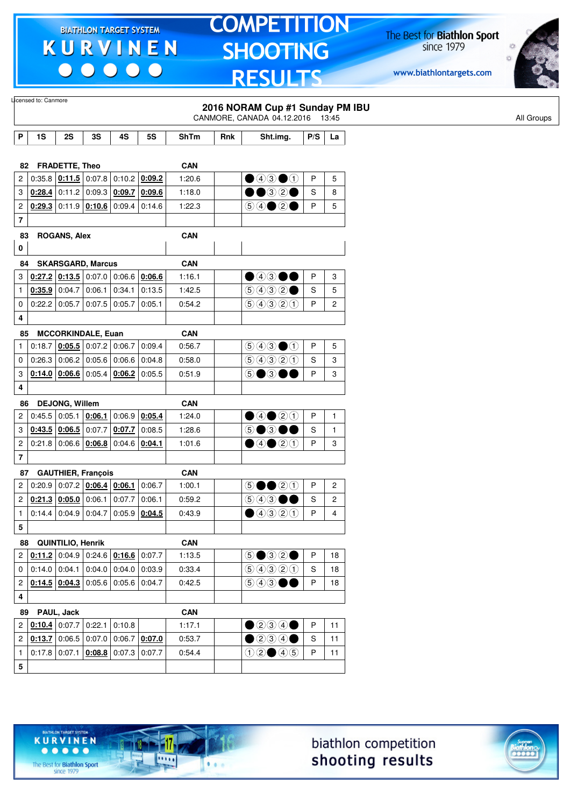$\begin{array}{c|c|c|c|c} \hline \bullet & \bullet & \bullet & \bullet & \bullet \end{array}$ 

# **TOMPETITION SHOOTING RESULTS**

The Best for **Biathlon Sport**<br>since 1979

www.biathlontargets.com



|                         | Licensed to: Canmore |                       |                                                                            |        |                        |             |     | 2016 NORAM Cup #1 Sunday PM IBU                                            |             |                         |
|-------------------------|----------------------|-----------------------|----------------------------------------------------------------------------|--------|------------------------|-------------|-----|----------------------------------------------------------------------------|-------------|-------------------------|
|                         |                      |                       |                                                                            |        |                        |             |     | CANMORE, CANADA 04.12.2016 13:45                                           |             |                         |
| P                       | 1S                   | 2S                    | 3S                                                                         | 4S     | <b>5S</b>              | <b>ShTm</b> | Rnk | Sht.img.                                                                   | P/S         | La                      |
|                         |                      |                       |                                                                            |        |                        |             |     |                                                                            |             |                         |
| 82                      |                      | <b>FRADETTE, Theo</b> |                                                                            |        |                        | <b>CAN</b>  |     |                                                                            |             |                         |
| 2                       |                      |                       | 0:35.8 $\vert$ 0:11.5 $\vert$ 0:07.8 $\vert$                               |        | $0:10.2$ 0:09.2        | 1:20.6      |     | $\bigcirc$ 4300                                                            | P           | 5                       |
| 3                       |                      |                       | $0.28.4$ 0:11.2 0:09.3 0:09.7                                              |        | 0:09.6                 | 1:18.0      |     | $\bullet\textcolor{red}{\bullet\circledcirc}\textcolor{red}{\circ\bullet}$ | S           | 8                       |
| $\overline{c}$          |                      |                       | $0.29.3$ 0:11.9 $0.10.6$ 0.09.4                                            |        | 0.14.6                 | 1:22.3      |     |                                                                            | P           | 5                       |
| $\overline{\mathbf{r}}$ |                      |                       |                                                                            |        |                        |             |     |                                                                            |             |                         |
| 83                      |                      | <b>ROGANS, Alex</b>   |                                                                            |        |                        | <b>CAN</b>  |     |                                                                            |             |                         |
| 0                       |                      |                       |                                                                            |        |                        |             |     |                                                                            |             |                         |
| 84                      |                      |                       | <b>SKARSGARD, Marcus</b>                                                   |        |                        | <b>CAN</b>  |     |                                                                            |             |                         |
| 3                       |                      |                       | $\vert$ 0:27.2 $\vert$ 0:13.5 $\vert$ 0:07.0 $\vert$ 0:06.6 $\vert$ 0:06.6 |        |                        | 1:16.1      |     | $\bullet$ 4300                                                             | P           | 3                       |
| $\mathbf{1}$            |                      | $0:35.9$ 0:04.7       | 0:06.1                                                                     | 0:34.1 | 0:13.5                 | 1:42.5      |     | 9992                                                                       | S           | 5                       |
| 0                       |                      | 0:22.2   0:05.7       | $0:07.5$ 0:05.7                                                            |        | 0:05.1                 | 0:54.2      |     | 99900                                                                      | P           | $\overline{c}$          |
| 4                       |                      |                       |                                                                            |        |                        |             |     |                                                                            |             |                         |
| 85                      |                      |                       | <b>MCCORKINDALE, Euan</b>                                                  |        |                        | <b>CAN</b>  |     |                                                                            |             |                         |
| 1                       | 0:18.7               |                       | $0.05.5$ 0:07.2 0:06.7                                                     |        | 0.09.4                 | 0:56.7      |     | $\bigcirc \bigcirc \bigcirc \bigcirc \bigcirc \bigcirc$                    | P           | 5                       |
| 0                       | 0:26.3               |                       | 0:06.2   0:05.6                                                            | 0:06.6 | 0.04.8                 | 0:58.0      |     | 99900                                                                      | S           | 3                       |
| 3                       |                      |                       | $0:14.0$ $0:06.6$ 0:05.4 0:06.2                                            |        | 0:05.5                 | 0:51.9      |     | 5●3●●                                                                      | P           | 3                       |
| 4                       |                      |                       |                                                                            |        |                        |             |     |                                                                            |             |                         |
| 86                      |                      | <b>DEJONG, Willem</b> |                                                                            |        |                        | <b>CAN</b>  |     |                                                                            |             |                         |
| 2                       |                      | 0.45.5   0.05.1       | 0:06.1                                                                     |        | $0:06.9$ 0:05.4        | 1:24.0      |     | ④④③③                                                                       | P           | $\mathbf{1}$            |
| 3                       |                      |                       | $0.43.5$ 0.06.5 0:07.7                                                     | 0:07.7 | 0:08.5                 | 1:28.6      |     | $\circledcirc$ $\bullet$                                                   | S           | $\mathbf{1}$            |
| $\overline{\mathbf{c}}$ |                      |                       | $0:21.8$ 0:06.6 0:06.8                                                     | 0:04.6 | 0:04.1                 | 1:01.6      |     | ④④③③                                                                       | P           | 3                       |
| $\overline{\mathbf{7}}$ |                      |                       |                                                                            |        |                        |             |     |                                                                            |             |                         |
| 87                      |                      |                       | <b>GAUTHIER, François</b>                                                  |        |                        | <b>CAN</b>  |     |                                                                            |             |                         |
| 2                       |                      |                       | $0:20.9$ 0:07.2 0:06.4 0:06.1                                              |        | 0:06.7                 | 1:00.1      |     | $\circledcirc \bullet \bullet \circledcirc \circledcirc$                   | P           | $\overline{c}$          |
| $\overline{c}$          |                      |                       | $0.21.3$ $0.05.0$ $0.06.1$ $0.07.7$                                        |        | 0:06.1                 | 0:59.2      |     | 6000                                                                       | S           | $\overline{c}$          |
| 1                       |                      |                       | $0.14.4$ 0.04.9 0.04.7                                                     | 0:05.9 | 0:04.5                 | 0:43.9      |     | ④④③③                                                                       | P           | $\overline{\mathbf{4}}$ |
| 5                       |                      |                       |                                                                            |        |                        |             |     |                                                                            |             |                         |
| 88                      |                      | QUINTILIO, Henrik     |                                                                            |        |                        | <b>CAN</b>  |     |                                                                            |             |                         |
| $\overline{2}$          |                      |                       | $\vert$ 0:11.2 $\vert$ 0:04.9 $\vert$ 0:24.6 $\vert$ 0:16.6 $\vert$ 0:07.7 |        |                        | 1:13.5      |     | $\circledcirc \bullet \circledcirc \circ \bullet$                          | P           | 18                      |
| 0                       |                      |                       | $\vert$ 0:14.0 $\vert$ 0:04.1 $\vert$ 0:04.0 $\vert$ 0:04.0 $\vert$        |        | 0:03.9                 | 0:33.4      |     | 99900                                                                      | $\mathbf S$ | 18                      |
| 2                       |                      |                       | $0.14.5$ $0.04.3$ 0:05.6 0:05.6 0:04.7                                     |        |                        | 0:42.5      |     | $\circledcirc$ $\bullet$                                                   | P           | 18                      |
| $\overline{\mathbf{4}}$ |                      |                       |                                                                            |        |                        |             |     |                                                                            |             |                         |
| 89                      |                      | PAUL, Jack            |                                                                            |        |                        | <b>CAN</b>  |     |                                                                            |             |                         |
| $\overline{2}$          |                      |                       | <b>0:10.4</b> 0:07.7 0:22.1 0:10.8                                         |        |                        | 1:17.1      |     | $\bullet$ 200                                                              | P           | 11                      |
| $\overline{c}$          |                      |                       | $\vert$ 0:13.7 $\vert$ 0:06.5 $\vert$ 0:07.0 $\vert$                       |        | $0:06.7$ 0:07.0        | 0:53.7      |     | $\bullet$ 200                                                              | S           | 11                      |
| $\mathbf{1}$            |                      | $0:17.8$ 0:07.1       |                                                                            |        | $0.08.8$ 0.07.3 0.07.7 | 0:54.4      |     | 02005                                                                      | P           | 11                      |
| 5                       |                      |                       |                                                                            |        |                        |             |     |                                                                            |             |                         |
|                         |                      |                       |                                                                            |        |                        |             |     |                                                                            |             |                         |

17

 $\overline{\cdots}$ 

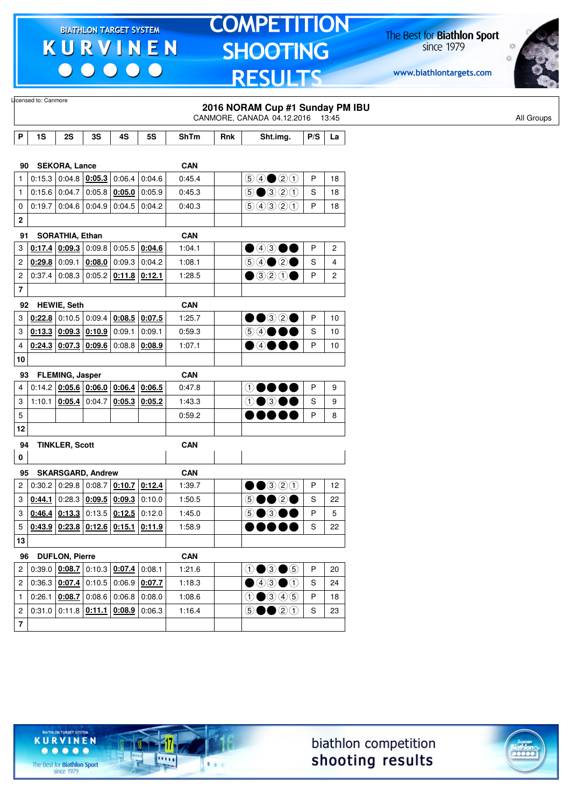$\begin{array}{c|c|c|c|c} \hline \bullet & \bullet & \bullet & \bullet & \bullet \end{array}$ 

# **TOMPETITION SHOOTING RESULTS**

The Best for **Biathlon Sport**<br>since 1979

www.biathlontargets.com



|                         |                                                  |                        |                                   |                                              |                                              |             |     | 2016 NORAM Cup #1 Sunday PM IBU<br>CANMORE, CANADA 04.12.2016 13:45 |               |    |
|-------------------------|--------------------------------------------------|------------------------|-----------------------------------|----------------------------------------------|----------------------------------------------|-------------|-----|---------------------------------------------------------------------|---------------|----|
| P                       | 1S                                               | 2S                     | 3S                                | 4S                                           | 5S                                           | <b>ShTm</b> | Rnk | Sht.img.                                                            | P/S           | La |
|                         |                                                  |                        |                                   |                                              |                                              |             |     |                                                                     |               |    |
| 90                      |                                                  | <b>SEKORA, Lance</b>   |                                   |                                              |                                              | <b>CAN</b>  |     |                                                                     |               |    |
| $\mathbf{1}$            |                                                  |                        | $0:15.3$ 0:04.8 0:05.3            | 0:06.4                                       | 0:04.6                                       | 0:45.4      |     | $\bigcirc \bigcirc \bigcirc \bigcirc \bigcirc \bigcirc \bigcirc$    | Ρ             | 18 |
| $\mathbf{1}$            |                                                  | 0:15.6 0:04.7          |                                   | $0:05.8$ 0:05.0                              | 0:05.9                                       | 0:45.3      |     | $\bigcirc \bullet \bigcirc \bigcirc \bigcirc \bigcirc \bigcirc$     | S             | 18 |
| 0                       | 0:19.7                                           |                        |                                   | $0.04.6$ 0.04.9 0.04.5                       | 0.04.2                                       | 0:40.3      |     | 99900                                                               | P             | 18 |
| 2                       |                                                  |                        |                                   |                                              |                                              |             |     |                                                                     |               |    |
| 91                      |                                                  | SORATHIA, Ethan        |                                   |                                              |                                              | <b>CAN</b>  |     |                                                                     |               |    |
| 3                       |                                                  | $0.17.4$ 0.09.3        |                                   |                                              | $0:09.8$ 0:05.5 0:04.6                       | 1:04.1      |     | 04300                                                               | Ρ             | 2  |
| 2                       | 0:29.8                                           | 0:09.1                 |                                   | $0:08.0$ 0:09.3                              | 0:04.2                                       | 1:08.1      |     |                                                                     | S             | 4  |
| 2                       |                                                  | 0:37.4 0:08.3          |                                   | $0.05.2$ 0:11.8 0:12.1                       |                                              | 1:28.5      |     | $\bullet$ 320                                                       | P             | 2  |
| 7                       |                                                  |                        |                                   |                                              |                                              |             |     |                                                                     |               |    |
| 92                      |                                                  | <b>HEWIE, Seth</b>     |                                   |                                              |                                              | <b>CAN</b>  |     |                                                                     |               |    |
| 3                       |                                                  |                        |                                   |                                              | $0.22.8$ 0.10.5 0.09.4 0.08.5 0.07.5         | 1:25.7      |     | ••32•                                                               | Ρ             | 10 |
| 3                       |                                                  |                        | 0.13.3   0.09.3   0.10.9   0.09.1 |                                              | 0:09.1                                       | 0:59.3      |     | $\bigcirc$ $\bigcirc$                                               | S             | 10 |
| 4                       |                                                  | $0:24.3$ 0:07.3        |                                   | $0.09.6$ 0:08.8 0:08.9                       |                                              | 1:07.1      |     | D④●t                                                                | P             | 10 |
| 10                      |                                                  |                        |                                   |                                              |                                              |             |     |                                                                     |               |    |
| 93                      |                                                  | <b>FLEMING, Jasper</b> |                                   |                                              |                                              | <b>CAN</b>  |     |                                                                     |               |    |
| 4                       |                                                  |                        |                                   |                                              | $0:14.2$   0:05.6   0:06.0   0:06.4   0:06.5 | 0:47.8      |     | $\odot$                                                             | P             | 9  |
| 3                       |                                                  | 1:10.1 0:05.4          | 0:04.7                            |                                              | $0.05.3$ 0.05.2                              | 1:43.3      |     | $\textcircled{\small{1}}$                                           | S             | 9  |
| 5                       |                                                  |                        |                                   |                                              |                                              | 0:59.2      |     |                                                                     | P             | 8  |
| 12                      |                                                  |                        |                                   |                                              |                                              |             |     |                                                                     |               |    |
|                         |                                                  |                        |                                   |                                              |                                              |             |     |                                                                     |               |    |
| 94<br>0                 |                                                  | <b>TINKLER, Scott</b>  |                                   |                                              |                                              | CAN         |     |                                                                     |               |    |
|                         |                                                  |                        |                                   |                                              |                                              |             |     |                                                                     |               |    |
| 95                      | 0:30.2                                           | 0:29.8                 | <b>SKARSGARD, Andrew</b>          | $\vert$ 0:08.7 $\vert$ 0:10.7                |                                              | <b>CAN</b>  |     |                                                                     | P             | 12 |
| 2                       |                                                  |                        |                                   |                                              | 0:12.4                                       | 1:39.7      |     | $\Theta$ $\Theta$ $\Theta$                                          |               |    |
| 3                       | 0:44.1                                           | 0:28.3                 |                                   |                                              | $0.09.5$ 0.09.3 0:10.0                       | 1:50.5      |     | 5●●2●<br>6●3●●                                                      | S             | 22 |
| 3                       |                                                  | $0.46.4$ 0.13.3        |                                   | $0:13.5$ 0:12.5 0:12.0                       |                                              | 1:45.0      |     |                                                                     | P             | 5  |
|                         | $5   0:43.9   0:23.8   0:12.6   0:15.1   0:11.9$ |                        |                                   |                                              |                                              | 1:58.9      |     | ,,,,,                                                               | ${\mathbb S}$ | 22 |
| 13                      |                                                  |                        |                                   |                                              |                                              |             |     |                                                                     |               |    |
| 96                      |                                                  | <b>DUFLON, Pierre</b>  |                                   |                                              |                                              | <b>CAN</b>  |     |                                                                     |               |    |
| 2                       |                                                  |                        |                                   | $0.39.0$ $0.08.7$ $0.10.3$ $0.07.4$ $0.08.1$ |                                              | 1:21.6      |     | $0 \bullet 3 \bullet 5$                                             | P             | 20 |
| 2                       |                                                  |                        |                                   |                                              | $0.36.3   0.07.4   0.10.5   0.06.9   0.07.7$ | 1:18.3      |     | $\bigcirc$ 43 $\bigcirc$ 1                                          | S             | 24 |
| $\mathbf{1}$            |                                                  |                        |                                   |                                              | $0.26.1$ $0.08.7$ $0.08.6$ $0.06.8$ $0.08.0$ | 1:08.6      |     | $0$ $0$ $0$ $0$ $0$                                                 | P             | 18 |
| $\overline{c}$          |                                                  |                        |                                   |                                              | $0.31.0$ 0.11.8 $0.11.1$ 0.08.9 0.06.3       | 1:16.4      |     | $\circledcirc \bullet \bullet \circledcirc \circledcirc$            | S             | 23 |
| $\overline{\mathbf{7}}$ |                                                  |                        |                                   |                                              |                                              |             |     |                                                                     |               |    |



17

.....